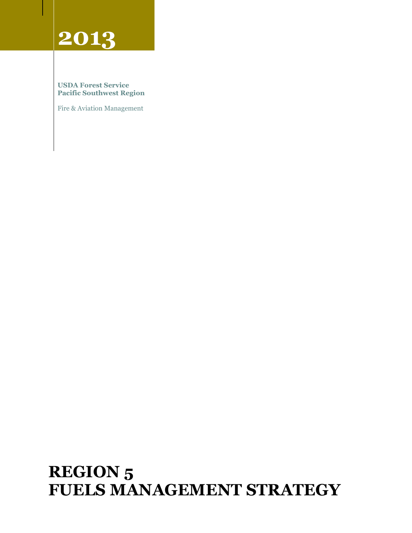# **2013**

#### **USDA Forest Service Pacific Southwest Region**

Fire & Aviation Management

# **REGION 5 FUELS MANAGEMENT STRATEGY**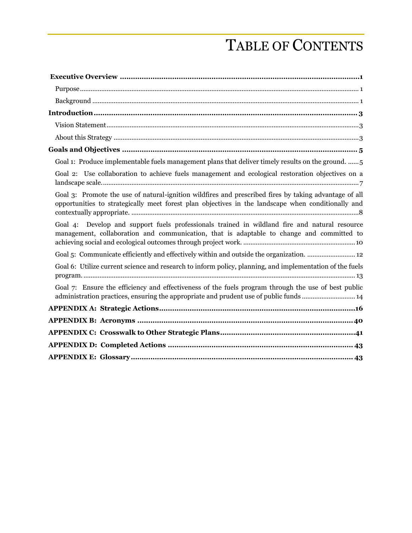# TABLE OF CONTENTS

| Goal 1: Produce implementable fuels management plans that deliver timely results on the ground.  5                                                                                                          |
|-------------------------------------------------------------------------------------------------------------------------------------------------------------------------------------------------------------|
| Goal 2: Use collaboration to achieve fuels management and ecological restoration objectives on a                                                                                                            |
| Goal 3: Promote the use of natural-ignition wildfires and prescribed fires by taking advantage of all<br>opportunities to strategically meet forest plan objectives in the landscape when conditionally and |
| Goal 4: Develop and support fuels professionals trained in wildland fire and natural resource<br>management, collaboration and communication, that is adaptable to change and committed to                  |
| Goal 5: Communicate efficiently and effectively within and outside the organization.  12                                                                                                                    |
| Goal 6: Utilize current science and research to inform policy, planning, and implementation of the fuels                                                                                                    |
| Goal 7: Ensure the efficiency and effectiveness of the fuels program through the use of best public<br>administration practices, ensuring the appropriate and prudent use of public funds  14               |
|                                                                                                                                                                                                             |
|                                                                                                                                                                                                             |
|                                                                                                                                                                                                             |
|                                                                                                                                                                                                             |
|                                                                                                                                                                                                             |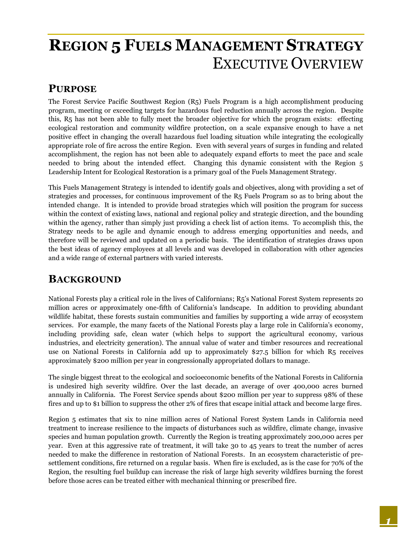# <span id="page-2-0"></span>**REGION 5 FUELS MANAGEMENT STRATEGY** EXECUTIVE OVERVIEW

#### <span id="page-2-1"></span>**PURPOSE**

The Forest Service Pacific Southwest Region (R5) Fuels Program is a high accomplishment producing program, meeting or exceeding targets for hazardous fuel reduction annually across the region. Despite this, R5 has not been able to fully meet the broader objective for which the program exists: effecting ecological restoration and community wildfire protection, on a scale expansive enough to have a net positive effect in changing the overall hazardous fuel loading situation while integrating the ecologically appropriate role of fire across the entire Region. Even with several years of surges in funding and related accomplishment, the region has not been able to adequately expand efforts to meet the pace and scale needed to bring about the intended effect. Changing this dynamic consistent with the Region 5 Leadership Intent for Ecological Restoration is a primary goal of the Fuels Management Strategy.

This Fuels Management Strategy is intended to identify goals and objectives, along with providing a set of strategies and processes, for continuous improvement of the R5 Fuels Program so as to bring about the intended change. It is intended to provide broad strategies which will position the program for success within the context of existing laws, national and regional policy and strategic direction, and the bounding within the agency, rather than simply just providing a check list of action items. To accomplish this, the Strategy needs to be agile and dynamic enough to address emerging opportunities and needs, and therefore will be reviewed and updated on a periodic basis. The identification of strategies draws upon the best ideas of agency employees at all levels and was developed in collaboration with other agencies and a wide range of external partners with varied interests.

# <span id="page-2-2"></span>**BACKGROUND**

National Forests play a critical role in the lives of Californians; R5's National Forest System represents 20 million acres or approximately one-fifth of California's landscape. In addition to providing abundant wildlife habitat, these forests sustain communities and families by supporting a wide array of ecosystem services. For example, the many facets of the National Forests play a large role in California's economy, including providing safe, clean water (which helps to support the agricultural economy, various industries, and electricity generation). The annual value of water and timber resources and recreational use on National Forests in California add up to approximately \$27.5 billion for which R5 receives approximately \$200 million per year in congressionally appropriated dollars to manage.

The single biggest threat to the ecological and socioeconomic benefits of the National Forests in California is undesired high severity wildfire. Over the last decade, an average of over 400,000 acres burned annually in California. The Forest Service spends about \$200 million per year to suppress 98% of these fires and up to \$1 billion to suppress the other 2% of fires that escape initial attack and become large fires.

Region 5 estimates that six to nine million acres of National Forest System Lands in California need treatment to increase resilience to the impacts of disturbances such as wildfire, climate change, invasive species and human population growth. Currently the Region is treating approximately 200,000 acres per year. Even at this aggressive rate of treatment, it will take 30 to 45 years to treat the number of acres needed to make the difference in restoration of National Forests. In an ecosystem characteristic of presettlement conditions, fire returned on a regular basis. When fire is excluded, as is the case for 70% of the Region, the resulting fuel buildup can increase the risk of large high severity wildfires burning the forest before those acres can be treated either with mechanical thinning or prescribed fire.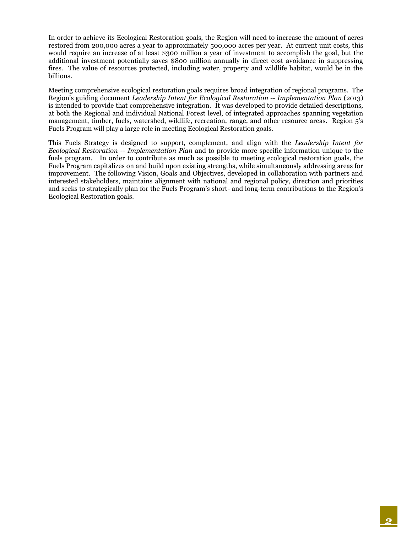In order to achieve its Ecological Restoration goals, the Region will need to increase the amount of acres restored from 200,000 acres a year to approximately 500,000 acres per year. At current unit costs, this would require an increase of at least \$300 million a year of investment to accomplish the goal, but the additional investment potentially saves \$800 million annually in direct cost avoidance in suppressing fires. The value of resources protected, including water, property and wildlife habitat, would be in the billions.

Meeting comprehensive ecological restoration goals requires broad integration of regional programs. The Region's guiding document *Leadership Intent for Ecological Restoration -- Implementation Plan* (2013) is intended to provide that comprehensive integration. It was developed to provide detailed descriptions, at both the Regional and individual National Forest level, of integrated approaches spanning vegetation management, timber, fuels, watershed, wildlife, recreation, range, and other resource areas. Region 5's Fuels Program will play a large role in meeting Ecological Restoration goals.

This Fuels Strategy is designed to support, complement, and align with the *Leadership Intent for Ecological Restoration -- Implementation Plan* and to provide more specific information unique to the fuels program. In order to contribute as much as possible to meeting ecological restoration goals, the Fuels Program capitalizes on and build upon existing strengths, while simultaneously addressing areas for improvement. The following Vision, Goals and Objectives, developed in collaboration with partners and interested stakeholders, maintains alignment with national and regional policy, direction and priorities and seeks to strategically plan for the Fuels Program's short- and long-term contributions to the Region's Ecological Restoration goals.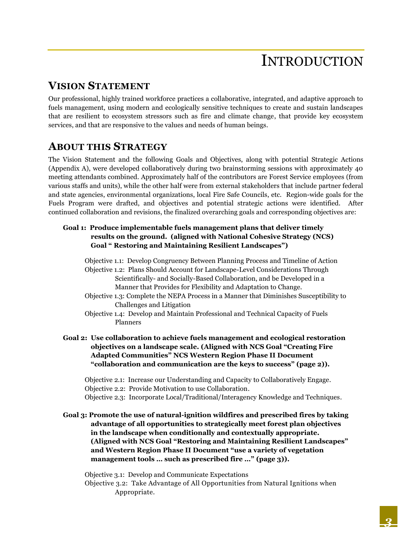# INTRODUCTION

# <span id="page-4-1"></span><span id="page-4-0"></span>**VISION STATEMENT**

Our professional, highly trained workforce practices a collaborative, integrated, and adaptive approach to fuels management, using modern and ecologically sensitive techniques to create and sustain landscapes that are resilient to ecosystem stressors such as fire and climate change, that provide key ecosystem services, and that are responsive to the values and needs of human beings.

## <span id="page-4-2"></span>**ABOUT THIS STRATEGY**

The Vision Statement and the following Goals and Objectives, along with potential Strategic Actions (Appendix A), were developed collaboratively during two brainstorming sessions with approximately 40 meeting attendants combined. Approximately half of the contributors are Forest Service employees (from various staffs and units), while the other half were from external stakeholders that include partner federal and state agencies, environmental organizations, local Fire Safe Councils, etc. Region-wide goals for the Fuels Program were drafted, and objectives and potential strategic actions were identified. After continued collaboration and revisions, the finalized overarching goals and corresponding objectives are:

#### **Goal 1: Produce implementable fuels management plans that deliver timely results on the ground. (aligned with National Cohesive Strategy (NCS) Goal " Restoring and Maintaining Resilient Landscapes")**

Objective 1.1: Develop Congruency Between Planning Process and Timeline of Action Objective 1.2: Plans Should Account for Landscape-Level Considerations Through Scientifically- and Socially-Based Collaboration, and be Developed in a Manner that Provides for Flexibility and Adaptation to Change.

- Objective 1.3: Complete the NEPA Process in a Manner that Diminishes Susceptibility to Challenges and Litigation
- Objective 1.4: Develop and Maintain Professional and Technical Capacity of Fuels Planners
- **Goal 2: Use collaboration to achieve fuels management and ecological restoration objectives on a landscape scale. (Aligned with NCS Goal "Creating Fire Adapted Communities" NCS Western Region Phase II Document "collaboration and communication are the keys to success" (page 2)).**

Objective 2.1: Increase our Understanding and Capacity to Collaboratively Engage. Objective 2.2: Provide Motivation to use Collaboration.

Objective 2.3: Incorporate Local/Traditional/Interagency Knowledge and Techniques.

**Goal 3: Promote the use of natural-ignition wildfires and prescribed fires by taking advantage of all opportunities to strategically meet forest plan objectives in the landscape when conditionally and contextually appropriate. (Aligned with NCS Goal "Restoring and Maintaining Resilient Landscapes" and Western Region Phase II Document "use a variety of vegetation management tools … such as prescribed fire …" (page 3)).**

Objective 3.1: Develop and Communicate Expectations Objective 3.2: Take Advantage of All Opportunities from Natural Ignitions when Appropriate.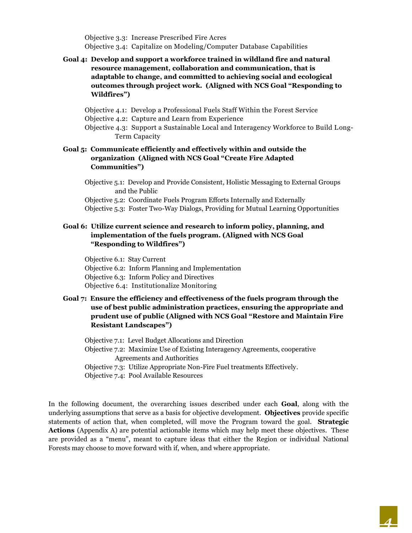Objective 3.3: Increase Prescribed Fire Acres Objective 3.4: Capitalize on Modeling/Computer Database Capabilities

#### **Goal 4: Develop and support a workforce trained in wildland fire and natural resource management, collaboration and communication, that is adaptable to change, and committed to achieving social and ecological outcomes through project work. (Aligned with NCS Goal "Responding to Wildfires")**

Objective 4.1: Develop a Professional Fuels Staff Within the Forest Service

- Objective 4.2: Capture and Learn from Experience
- Objective 4.3: Support a Sustainable Local and Interagency Workforce to Build Long-Term Capacity

#### **Goal 5: Communicate efficiently and effectively within and outside the organization (Aligned with NCS Goal "Create Fire Adapted Communities")**

Objective 5.1: Develop and Provide Consistent, Holistic Messaging to External Groups and the Public

Objective 5.2: Coordinate Fuels Program Efforts Internally and Externally

Objective 5.3: Foster Two-Way Dialogs, Providing for Mutual Learning Opportunities

#### **Goal 6: Utilize current science and research to inform policy, planning, and implementation of the fuels program. (Aligned with NCS Goal "Responding to Wildfires")**

Objective 6.1: Stay Current Objective 6.2: Inform Planning and Implementation Objective 6.3: Inform Policy and Directives Objective 6.4: Institutionalize Monitoring

#### **Goal 7: Ensure the efficiency and effectiveness of the fuels program through the use of best public administration practices, ensuring the appropriate and prudent use of public (Aligned with NCS Goal "Restore and Maintain Fire Resistant Landscapes")**

Objective 7.1: Level Budget Allocations and Direction Objective 7.2: Maximize Use of Existing Interagency Agreements, cooperative Agreements and Authorities Objective 7.3: Utilize Appropriate Non-Fire Fuel treatments Effectively. Objective 7.4: Pool Available Resources

In the following document, the overarching issues described under each **Goal**, along with the underlying assumptions that serve as a basis for objective development. **Objectives** provide specific statements of action that, when completed, will move the Program toward the goal. **Strategic Actions** (Appendix A) are potential actionable items which may help meet these objectives. These are provided as a "menu", meant to capture ideas that either the Region or individual National Forests may choose to move forward with if, when, and where appropriate.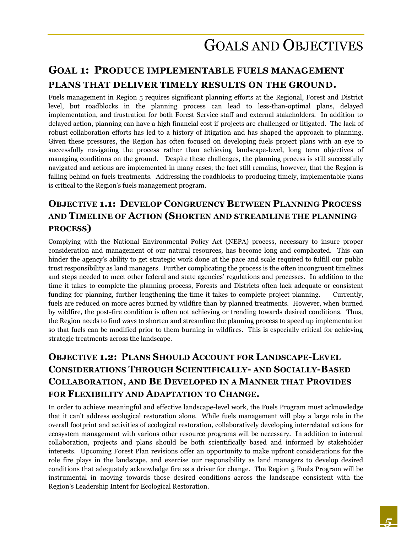# <span id="page-6-1"></span><span id="page-6-0"></span>**GOAL 1: PRODUCE IMPLEMENTABLE FUELS MANAGEMENT PLANS THAT DELIVER TIMELY RESULTS ON THE GROUND.**

Fuels management in Region 5 requires significant planning efforts at the Regional, Forest and District level, but roadblocks in the planning process can lead to less-than-optimal plans, delayed implementation, and frustration for both Forest Service staff and external stakeholders. In addition to delayed action, planning can have a high financial cost if projects are challenged or litigated. The lack of robust collaboration efforts has led to a history of litigation and has shaped the approach to planning. Given these pressures, the Region has often focused on developing fuels project plans with an eye to successfully navigating the process rather than achieving landscape-level, long term objectives of managing conditions on the ground. Despite these challenges, the planning process is still successfully navigated and actions are implemented in many cases; the fact still remains, however, that the Region is falling behind on fuels treatments. Addressing the roadblocks to producing timely, implementable plans is critical to the Region's fuels management program.

## **OBJECTIVE 1.1: DEVELOP CONGRUENCY BETWEEN PLANNING PROCESS AND TIMELINE OF ACTION (SHORTEN AND STREAMLINE THE PLANNING PROCESS)**

Complying with the National Environmental Policy Act (NEPA) process, necessary to insure proper consideration and management of our natural resources, has become long and complicated. This can hinder the agency's ability to get strategic work done at the pace and scale required to fulfill our public trust responsibility as land managers. Further complicating the process is the often incongruent timelines and steps needed to meet other federal and state agencies' regulations and processes. In addition to the time it takes to complete the planning process, Forests and Districts often lack adequate or consistent funding for planning, further lengthening the time it takes to complete project planning. Currently, fuels are reduced on more acres burned by wildfire than by planned treatments. However, when burned by wildfire, the post-fire condition is often not achieving or trending towards desired conditions. Thus, the Region needs to find ways to shorten and streamline the planning process to speed up implementation so that fuels can be modified prior to them burning in wildfires. This is especially critical for achieving strategic treatments across the landscape.

## **OBJECTIVE 1.2: PLANS SHOULD ACCOUNT FOR LANDSCAPE-LEVEL CONSIDERATIONS THROUGH SCIENTIFICALLY- AND SOCIALLY-BASED COLLABORATION, AND BE DEVELOPED IN A MANNER THAT PROVIDES FOR FLEXIBILITY AND ADAPTATION TO CHANGE.**

In order to achieve meaningful and effective landscape-level work, the Fuels Program must acknowledge that it can't address ecological restoration alone. While fuels management will play a large role in the overall footprint and activities of ecological restoration, collaboratively developing interrelated actions for ecosystem management with various other resource programs will be necessary. In addition to internal collaboration, projects and plans should be both scientifically based and informed by stakeholder interests. Upcoming Forest Plan revisions offer an opportunity to make upfront considerations for the role fire plays in the landscape, and exercise our responsibility as land managers to develop desired conditions that adequately acknowledge fire as a driver for change. The Region 5 Fuels Program will be instrumental in moving towards those desired conditions across the landscape consistent with the Region's Leadership Intent for Ecological Restoration.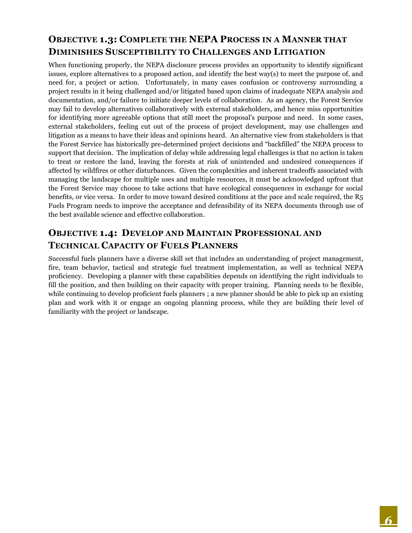## **OBJECTIVE 1.3: COMPLETE THE NEPA PROCESS IN A MANNER THAT DIMINISHES SUSCEPTIBILITY TO CHALLENGES AND LITIGATION**

When functioning properly, the NEPA disclosure process provides an opportunity to identify significant issues, explore alternatives to a proposed action, and identify the best way(s) to meet the purpose of, and need for, a project or action. Unfortunately, in many cases confusion or controversy surrounding a project results in it being challenged and/or litigated based upon claims of inadequate NEPA analysis and documentation, and/or failure to initiate deeper levels of collaboration. As an agency, the Forest Service may fail to develop alternatives collaboratively with external stakeholders, and hence miss opportunities for identifying more agreeable options that still meet the proposal's purpose and need. In some cases, external stakeholders, feeling cut out of the process of project development, may use challenges and litigation as a means to have their ideas and opinions heard. An alternative view from stakeholders is that the Forest Service has historically pre-determined project decisions and "backfilled" the NEPA process to support that decision. The implication of delay while addressing legal challenges is that no action is taken to treat or restore the land, leaving the forests at risk of unintended and undesired consequences if affected by wildfires or other disturbances. Given the complexities and inherent tradeoffs associated with managing the landscape for multiple uses and multiple resources, it must be acknowledged upfront that the Forest Service may choose to take actions that have ecological consequences in exchange for social benefits, or vice versa. In order to move toward desired conditions at the pace and scale required, the R5 Fuels Program needs to improve the acceptance and defensibility of its NEPA documents through use of the best available science and effective collaboration.

#### **OBJECTIVE 1.4: DEVELOP AND MAINTAIN PROFESSIONAL AND TECHNICAL CAPACITY OF FUELS PLANNERS**

Successful fuels planners have a diverse skill set that includes an understanding of project management, fire, team behavior, tactical and strategic fuel treatment implementation, as well as technical NEPA proficiency. Developing a planner with these capabilities depends on identifying the right individuals to fill the position, and then building on their capacity with proper training. Planning needs to be flexible, while continuing to develop proficient fuels planners; a new planner should be able to pick up an existing plan and work with it or engage an ongoing planning process, while they are building their level of familiarity with the project or landscape.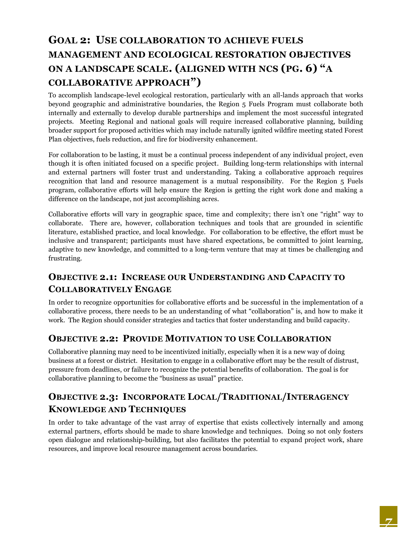# <span id="page-8-0"></span>**GOAL 2: USE COLLABORATION TO ACHIEVE FUELS MANAGEMENT AND ECOLOGICAL RESTORATION OBJECTIVES ON A LANDSCAPE SCALE. (ALIGNED WITH NCS (PG. 6) "A COLLABORATIVE APPROACH")**

To accomplish landscape-level ecological restoration, particularly with an all-lands approach that works beyond geographic and administrative boundaries, the Region 5 Fuels Program must collaborate both internally and externally to develop durable partnerships and implement the most successful integrated projects. Meeting Regional and national goals will require increased collaborative planning, building broader support for proposed activities which may include naturally ignited wildfire meeting stated Forest Plan objectives, fuels reduction, and fire for biodiversity enhancement.

For collaboration to be lasting, it must be a continual process independent of any individual project, even though it is often initiated focused on a specific project. Building long-term relationships with internal and external partners will foster trust and understanding. Taking a collaborative approach requires recognition that land and resource management is a mutual responsibility. For the Region 5 Fuels program, collaborative efforts will help ensure the Region is getting the right work done and making a difference on the landscape, not just accomplishing acres.

Collaborative efforts will vary in geographic space, time and complexity; there isn't one "right" way to collaborate. There are, however, collaboration techniques and tools that are grounded in scientific literature, established practice, and local knowledge. For collaboration to be effective, the effort must be inclusive and transparent; participants must have shared expectations, be committed to joint learning, adaptive to new knowledge, and committed to a long-term venture that may at times be challenging and frustrating.

## **OBJECTIVE 2.1: INCREASE OUR UNDERSTANDING AND CAPACITY TO COLLABORATIVELY ENGAGE**

In order to recognize opportunities for collaborative efforts and be successful in the implementation of a collaborative process, there needs to be an understanding of what "collaboration" is, and how to make it work. The Region should consider strategies and tactics that foster understanding and build capacity.

#### **OBJECTIVE 2.2: PROVIDE MOTIVATION TO USE COLLABORATION**

Collaborative planning may need to be incentivized initially, especially when it is a new way of doing business at a forest or district. Hesitation to engage in a collaborative effort may be the result of distrust, pressure from deadlines, or failure to recognize the potential benefits of collaboration. The goal is for collaborative planning to become the "business as usual" practice.

## **OBJECTIVE 2.3: INCORPORATE LOCAL/TRADITIONAL/INTERAGENCY KNOWLEDGE AND TECHNIQUES**

In order to take advantage of the vast array of expertise that exists collectively internally and among external partners, efforts should be made to share knowledge and techniques. Doing so not only fosters open dialogue and relationship-building, but also facilitates the potential to expand project work, share resources, and improve local resource management across boundaries.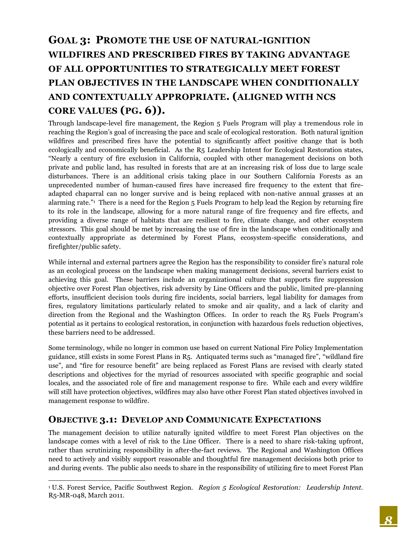# <span id="page-9-0"></span>**GOAL 3: PROMOTE THE USE OF NATURAL-IGNITION WILDFIRES AND PRESCRIBED FIRES BY TAKING ADVANTAGE OF ALL OPPORTUNITIES TO STRATEGICALLY MEET FOREST PLAN OBJECTIVES IN THE LANDSCAPE WHEN CONDITIONALLY AND CONTEXTUALLY APPROPRIATE. (ALIGNED WITH NCS CORE VALUES (PG. 6)).**

Through landscape-level fire management, the Region 5 Fuels Program will play a tremendous role in reaching the Region's goal of increasing the pace and scale of ecological restoration. Both natural ignition wildfires and prescribed fires have the potential to significantly affect positive change that is both ecologically and economically beneficial. As the R5 Leadership Intent for Ecological Restoration states, "Nearly a century of fire exclusion in California, coupled with other management decisions on both private and public land, has resulted in forests that are at an increasing risk of loss due to large scale disturbances. There is an additional crisis taking place in our Southern California Forests as an unprecedented number of human-caused fires have increased fire frequency to the extent that fireadapted chaparral can no longer survive and is being replaced with non-native annual grasses at an alarming rate."<sup>1</sup> There is a need for the Region 5 Fuels Program to help lead the Region by returning fire to its role in the landscape, allowing for a more natural range of fire frequency and fire effects, and providing a diverse range of habitats that are resilient to fire, climate change, and other ecosystem stressors. This goal should be met by increasing the use of fire in the landscape when conditionally and contextually appropriate as determined by Forest Plans, ecosystem-specific considerations, and firefighter/public safety.

While internal and external partners agree the Region has the responsibility to consider fire's natural role as an ecological process on the landscape when making management decisions, several barriers exist to achieving this goal. These barriers include an organizational culture that supports fire suppression objective over Forest Plan objectives, risk adversity by Line Officers and the public, limited pre-planning efforts, insufficient decision tools during fire incidents, social barriers, legal liability for damages from fires, regulatory limitations particularly related to smoke and air quality, and a lack of clarity and direction from the Regional and the Washington Offices. In order to reach the R5 Fuels Program's potential as it pertains to ecological restoration, in conjunction with hazardous fuels reduction objectives, these barriers need to be addressed.

Some terminology, while no longer in common use based on current National Fire Policy Implementation guidance, still exists in some Forest Plans in R5. Antiquated terms such as "managed fire", "wildland fire use", and "fire for resource benefit" are being replaced as Forest Plans are revised with clearly stated descriptions and objectives for the myriad of resources associated with specific geographic and social locales, and the associated role of fire and management response to fire. While each and every wildfire will still have protection objectives, wildfires may also have other Forest Plan stated objectives involved in management response to wildfire.

#### **OBJECTIVE 3.1: DEVELOP AND COMMUNICATE EXPECTATIONS**

 $\overline{a}$ 

The management decision to utilize naturally ignited wildfire to meet Forest Plan objectives on the landscape comes with a level of risk to the Line Officer. There is a need to share risk-taking upfront, rather than scrutinizing responsibility in after-the-fact reviews. The Regional and Washington Offices need to actively and visibly support reasonable and thoughtful fire management decisions both prior to and during events. The public also needs to share in the responsibility of utilizing fire to meet Forest Plan

<sup>1</sup> U.S. Forest Service, Pacific Southwest Region. *Region 5 Ecological Restoration: Leadership Intent.*  R5-MR-048, March 2011.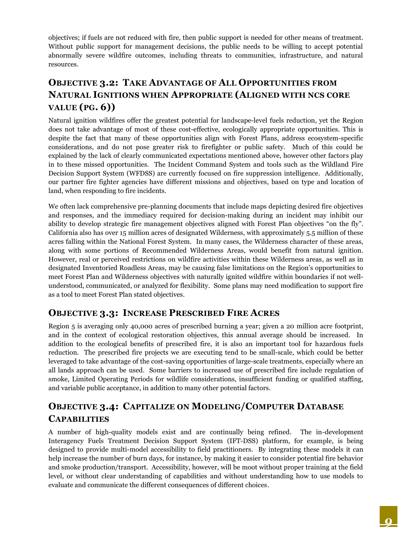objectives; if fuels are not reduced with fire, then public support is needed for other means of treatment. Without public support for management decisions, the public needs to be willing to accept potential abnormally severe wildfire outcomes, including threats to communities, infrastructure, and natural resources.

# **OBJECTIVE 3.2: TAKE ADVANTAGE OF ALL OPPORTUNITIES FROM NATURAL IGNITIONS WHEN APPROPRIATE (ALIGNED WITH NCS CORE VALUE (PG. 6))**

Natural ignition wildfires offer the greatest potential for landscape-level fuels reduction, yet the Region does not take advantage of most of these cost-effective, ecologically appropriate opportunities. This is despite the fact that many of these opportunities align with Forest Plans, address ecosystem-specific considerations, and do not pose greater risk to firefighter or public safety. Much of this could be explained by the lack of clearly communicated expectations mentioned above, however other factors play in to these missed opportunities. The Incident Command System and tools such as the Wildland Fire Decision Support System (WFDSS) are currently focused on fire suppression intelligence. Additionally, our partner fire fighter agencies have different missions and objectives, based on type and location of land, when responding to fire incidents.

We often lack comprehensive pre-planning documents that include maps depicting desired fire objectives and responses, and the immediacy required for decision-making during an incident may inhibit our ability to develop strategic fire management objectives aligned with Forest Plan objectives "on the fly". California also has over 15 million acres of designated Wilderness, with approximately 5.5 million of these acres falling within the National Forest System. In many cases, the Wilderness character of these areas, along with some portions of Recommended Wilderness Areas, would benefit from natural ignition. However, real or perceived restrictions on wildfire activities within these Wilderness areas, as well as in designated Inventoried Roadless Areas, may be causing false limitations on the Region's opportunities to meet Forest Plan and Wilderness objectives with naturally ignited wildfire within boundaries if not wellunderstood, communicated, or analyzed for flexibility. Some plans may need modification to support fire as a tool to meet Forest Plan stated objectives.

#### **OBJECTIVE 3.3: INCREASE PRESCRIBED FIRE ACRES**

Region 5 is averaging only 40,000 acres of prescribed burning a year; given a 20 million acre footprint, and in the context of ecological restoration objectives, this annual average should be increased. In addition to the ecological benefits of prescribed fire, it is also an important tool for hazardous fuels reduction. The prescribed fire projects we are executing tend to be small-scale, which could be better leveraged to take advantage of the cost-saving opportunities of large-scale treatments, especially where an all lands approach can be used. Some barriers to increased use of prescribed fire include regulation of smoke, Limited Operating Periods for wildlife considerations, insufficient funding or qualified staffing, and variable public acceptance, in addition to many other potential factors.

### **OBJECTIVE 3.4: CAPITALIZE ON MODELING/COMPUTER DATABASE CAPABILITIES**

A number of high-quality models exist and are continually being refined. The in-development Interagency Fuels Treatment Decision Support System (IFT-DSS) platform, for example, is being designed to provide multi-model accessibility to field practitioners. By integrating these models it can help increase the number of burn days, for instance, by making it easier to consider potential fire behavior and smoke production/transport. Accessibility, however, will be moot without proper training at the field level, or without clear understanding of capabilities and without understanding how to use models to evaluate and communicate the different consequences of different choices.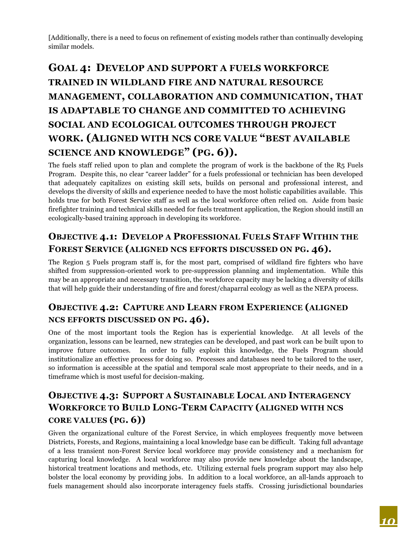[Additionally, there is a need to focus on refinement of existing models rather than continually developing similar models.

# <span id="page-11-0"></span>**GOAL 4: DEVELOP AND SUPPORT A FUELS WORKFORCE TRAINED IN WILDLAND FIRE AND NATURAL RESOURCE MANAGEMENT, COLLABORATION AND COMMUNICATION, THAT IS ADAPTABLE TO CHANGE AND COMMITTED TO ACHIEVING SOCIAL AND ECOLOGICAL OUTCOMES THROUGH PROJECT WORK. (ALIGNED WITH NCS CORE VALUE "BEST AVAILABLE SCIENCE AND KNOWLEDGE" (PG. 6)).**

The fuels staff relied upon to plan and complete the program of work is the backbone of the R5 Fuels Program. Despite this, no clear "career ladder" for a fuels professional or technician has been developed that adequately capitalizes on existing skill sets, builds on personal and professional interest, and develops the diversity of skills and experience needed to have the most holistic capabilities available. This holds true for both Forest Service staff as well as the local workforce often relied on. Aside from basic firefighter training and technical skills needed for fuels treatment application, the Region should instill an ecologically-based training approach in developing its workforce.

### **OBJECTIVE 4.1: DEVELOP A PROFESSIONAL FUELS STAFF WITHIN THE FOREST SERVICE (ALIGNED NCS EFFORTS DISCUSSED ON PG. 46).**

The Region 5 Fuels program staff is, for the most part, comprised of wildland fire fighters who have shifted from suppression-oriented work to pre-suppression planning and implementation. While this may be an appropriate and necessary transition, the workforce capacity may be lacking a diversity of skills that will help guide their understanding of fire and forest/chaparral ecology as well as the NEPA process.

### **OBJECTIVE 4.2: CAPTURE AND LEARN FROM EXPERIENCE (ALIGNED NCS EFFORTS DISCUSSED ON PG. 46).**

One 0f the most important tools the Region has is experiential knowledge. At all levels of the organization, lessons can be learned, new strategies can be developed, and past work can be built upon to improve future outcomes. In order to fully exploit this knowledge, the Fuels Program should institutionalize an effective process for doing so. Processes and databases need to be tailored to the user, so information is accessible at the spatial and temporal scale most appropriate to their needs, and in a timeframe which is most useful for decision-making.

# **OBJECTIVE 4.3: SUPPORT A SUSTAINABLE LOCAL AND INTERAGENCY WORKFORCE TO BUILD LONG-TERM CAPACITY (ALIGNED WITH NCS CORE VALUES (PG. 6))**

Given the organizational culture of the Forest Service, in which employees frequently move between Districts, Forests, and Regions, maintaining a local knowledge base can be difficult. Taking full advantage of a less transient non-Forest Service local workforce may provide consistency and a mechanism for capturing local knowledge. A local workforce may also provide new knowledge about the landscape, historical treatment locations and methods, etc. Utilizing external fuels program support may also help bolster the local economy by providing jobs. In addition to a local workforce, an all-lands approach to fuels management should also incorporate interagency fuels staffs. Crossing jurisdictional boundaries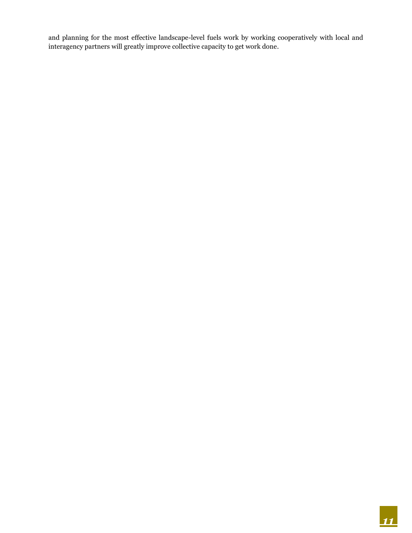and planning for the most effective landscape-level fuels work by working cooperatively with local and interagency partners will greatly improve collective capacity to get work done.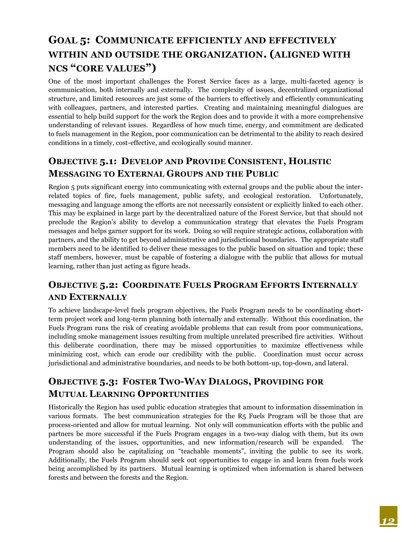# <span id="page-13-0"></span>**GOAL 5: COMMUNICATE EFFICIENTLY AND EFFECTIVELY WITHIN AND OUTSIDE THE ORGANIZATION. (ALIGNED WITH NCS "CORE VALUES")**

One of the most important challenges the Forest Service faces as a large, multi-faceted agency is communication, both internally and externally. The complexity of issues, decentralized organizational structure, and limited resources are just some of the barriers to effectively and efficiently communicating with colleagues, partners, and interested parties. Creating and maintaining meaningful dialogues are essential to help build support for the work the Region does and to provide it with a more comprehensive understanding of relevant issues. Regardless of how much time, energy, and commitment are dedicated to fuels management in the Region, poor communication can be detrimental to the ability to reach desired conditions in a timely, cost-effective, and ecologically sound manner.

### **OBJECTIVE 5.1: DEVELOP AND PROVIDE CONSISTENT, HOLISTIC MESSAGING TO EXTERNAL GROUPS AND THE PUBLIC**

Region 5 puts significant energy into communicating with external groups and the public about the interrelated topics of fire, fuels management, public safety, and ecological restoration. Unfortunately, messaging and language among the efforts are not necessarily consistent or explicitly linked to each other. This may be explained in large part by the decentralized nature of the Forest Service, but that should not preclude the Region's ability to develop a communication strategy that elevates the Fuels Program messages and helps garner support for its work. Doing so will require strategic actions, collaboration with partners, and the ability to get beyond administrative and jurisdictional boundaries. The appropriate staff members need to be identified to deliver these messages to the public based on situation and topic; these staff members, however, must be capable of fostering a dialogue with the public that allows for mutual learning, rather than just acting as figure heads.

# **OBJECTIVE 5.2: COORDINATE FUELS PROGRAM EFFORTS INTERNALLY AND EXTERNALLY**

To achieve landscape-level fuels program objectives, the Fuels Program needs to be coordinating shortterm project work and long-term planning both internally and externally. Without this coordination, the Fuels Program runs the risk of creating avoidable problems that can result from poor communications, including smoke management issues resulting from multiple unrelated prescribed fire activities. Without this deliberate coordination, there may be missed opportunities to maximize effectiveness while minimizing cost, which can erode our credibility with the public. Coordination must occur across jurisdictional and administrative boundaries, and needs to be both bottom-up, top-down, and lateral.

# **OBJECTIVE 5.3: FOSTER TWO-WAY DIALOGS, PROVIDING FOR MUTUAL LEARNING OPPORTUNITIES**

Historically the Region has used public education strategies that amount to information dissemination in various formats. The best communication strategies for the R5 Fuels Program will be those that are process-oriented and allow for mutual learning. Not only will communication efforts with the public and partners be more successful if the Fuels Program engages in a two-way dialog with them, but its own understanding of the issues, opportunities, and new information/research will be expanded. The Program should also be capitalizing on "teachable moments", inviting the public to see its work. Additionally, the Fuels Program should seek out opportunities to engage in and learn from fuels work being accomplished by its partners. Mutual learning is optimized when information is shared between forests and between the forests and the Region.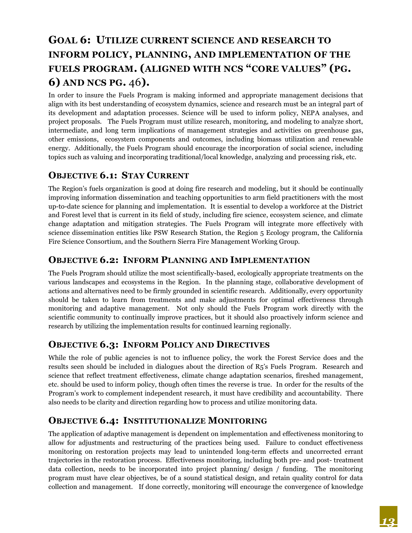# <span id="page-14-0"></span>**GOAL 6: UTILIZE CURRENT SCIENCE AND RESEARCH TO INFORM POLICY, PLANNING, AND IMPLEMENTATION OF THE FUELS PROGRAM. (ALIGNED WITH NCS "CORE VALUES" (PG. 6) AND NCS PG.** 46**).**

In order to insure the Fuels Program is making informed and appropriate management decisions that align with its best understanding of ecosystem dynamics, science and research must be an integral part of its development and adaptation processes. Science will be used to inform policy, NEPA analyses, and project proposals. The Fuels Program must utilize research, monitoring, and modeling to analyze short, intermediate, and long term implications of management strategies and activities on greenhouse gas, other emissions, ecosystem components and outcomes, including biomass utilization and renewable energy. Additionally, the Fuels Program should encourage the incorporation of social science, including topics such as valuing and incorporating traditional/local knowledge, analyzing and processing risk, etc.

#### **OBJECTIVE 6.1: STAY CURRENT**

The Region's fuels organization is good at doing fire research and modeling, but it should be continually improving information dissemination and teaching opportunities to arm field practitioners with the most up-to-date science for planning and implementation. It is essential to develop a workforce at the District and Forest level that is current in its field of study, including fire science, ecosystem science, and climate change adaptation and mitigation strategies. The Fuels Program will integrate more effectively with science dissemination entities like PSW Research Station, the Region 5 Ecology program, the California Fire Science Consortium, and the Southern Sierra Fire Management Working Group.

#### **OBJECTIVE 6.2: INFORM PLANNING AND IMPLEMENTATION**

The Fuels Program should utilize the most scientifically-based, ecologically appropriate treatments on the various landscapes and ecosystems in the Region. In the planning stage, collaborative development of actions and alternatives need to be firmly grounded in scientific research. Additionally, every opportunity should be taken to learn from treatments and make adjustments for optimal effectiveness through monitoring and adaptive management. Not only should the Fuels Program work directly with the scientific community to continually improve practices, but it should also proactively inform science and research by utilizing the implementation results for continued learning regionally.

#### **OBJECTIVE 6.3: INFORM POLICY AND DIRECTIVES**

While the role of public agencies is not to influence policy, the work the Forest Service does and the results seen should be included in dialogues about the direction of R5's Fuels Program. Research and science that reflect treatment effectiveness, climate change adaptation scenarios, fireshed management, etc. should be used to inform policy, though often times the reverse is true. In order for the results of the Program's work to complement independent research, it must have credibility and accountability. There also needs to be clarity and direction regarding how to process and utilize monitoring data.

#### **OBJECTIVE 6.4: INSTITUTIONALIZE MONITORING**

The application of adaptive management is dependent on implementation and effectiveness monitoring to allow for adjustments and restructuring of the practices being used. Failure to conduct effectiveness monitoring on restoration projects may lead to unintended long-term effects and uncorrected errant trajectories in the restoration process. Effectiveness monitoring, including both pre- and post- treatment data collection, needs to be incorporated into project planning/ design / funding. The monitoring program must have clear objectives, be of a sound statistical design, and retain quality control for data collection and management. If done correctly, monitoring will encourage the convergence of knowledge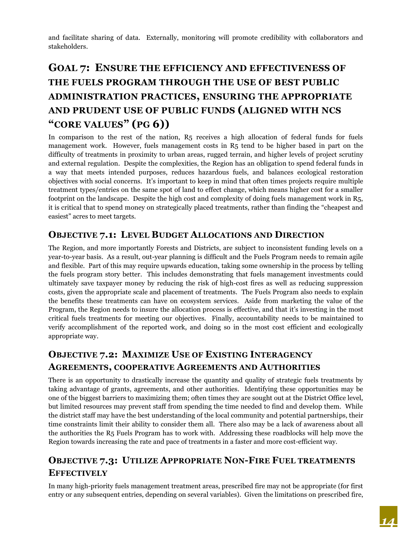and facilitate sharing of data. Externally, monitoring will promote credibility with collaborators and stakeholders.

# <span id="page-15-0"></span>**GOAL 7: ENSURE THE EFFICIENCY AND EFFECTIVENESS OF THE FUELS PROGRAM THROUGH THE USE OF BEST PUBLIC ADMINISTRATION PRACTICES, ENSURING THE APPROPRIATE AND PRUDENT USE OF PUBLIC FUNDS (ALIGNED WITH NCS "CORE VALUES" (PG 6))**

In comparison to the rest of the nation, R5 receives a high allocation of federal funds for fuels management work. However, fuels management costs in R5 tend to be higher based in part on the difficulty of treatments in proximity to urban areas, rugged terrain, and higher levels of project scrutiny and external regulation. Despite the complexities, the Region has an obligation to spend federal funds in a way that meets intended purposes, reduces hazardous fuels, and balances ecological restoration objectives with social concerns. It's important to keep in mind that often times projects require multiple treatment types/entries on the same spot of land to effect change, which means higher cost for a smaller footprint on the landscape. Despite the high cost and complexity of doing fuels management work in R5, it is critical that to spend money on strategically placed treatments, rather than finding the "cheapest and easiest" acres to meet targets.

#### **OBJECTIVE 7.1: LEVEL BUDGET ALLOCATIONS AND DIRECTION**

The Region, and more importantly Forests and Districts, are subject to inconsistent funding levels on a year-to-year basis. As a result, out-year planning is difficult and the Fuels Program needs to remain agile and flexible. Part of this may require upwards education, taking some ownership in the process by telling the fuels program story better. This includes demonstrating that fuels management investments could ultimately save taxpayer money by reducing the risk of high-cost fires as well as reducing suppression costs, given the appropriate scale and placement of treatments. The Fuels Program also needs to explain the benefits these treatments can have on ecosystem services. Aside from marketing the value of the Program, the Region needs to insure the allocation process is effective, and that it's investing in the most critical fuels treatments for meeting our objectives. Finally, accountability needs to be maintained to verify accomplishment of the reported work, and doing so in the most cost efficient and ecologically appropriate way.

## **OBJECTIVE 7.2: MAXIMIZE USE OF EXISTING INTERAGENCY AGREEMENTS, COOPERATIVE AGREEMENTS AND AUTHORITIES**

There is an opportunity to drastically increase the quantity and quality of strategic fuels treatments by taking advantage of grants, agreements, and other authorities. Identifying these opportunities may be one of the biggest barriers to maximizing them; often times they are sought out at the District Office level, but limited resources may prevent staff from spending the time needed to find and develop them. While the district staff may have the best understanding of the local community and potential partnerships, their time constraints limit their ability to consider them all. There also may be a lack of awareness about all the authorities the R5 Fuels Program has to work with. Addressing these roadblocks will help move the Region towards increasing the rate and pace of treatments in a faster and more cost-efficient way.

# **OBJECTIVE 7.3: UTILIZE APPROPRIATE NON-FIRE FUEL TREATMENTS EFFECTIVELY**

In many high-priority fuels management treatment areas, prescribed fire may not be appropriate (for first entry or any subsequent entries, depending on several variables). Given the limitations on prescribed fire,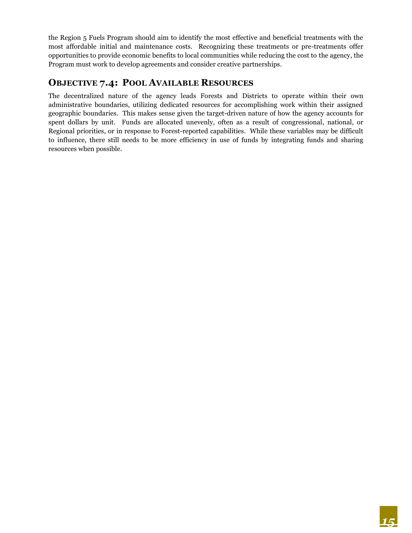the Region 5 Fuels Program should aim to identify the most effective and beneficial treatments with the most affordable initial and maintenance costs. Recognizing these treatments or pre-treatments offer opportunities to provide economic benefits to local communities while reducing the cost to the agency, the Program must work to develop agreements and consider creative partnerships.

#### **OBJECTIVE 7.4: POOL AVAILABLE RESOURCES**

The decentralized nature of the agency leads Forests and Districts to operate within their own administrative boundaries, utilizing dedicated resources for accomplishing work within their assigned geographic boundaries. This makes sense given the target-driven nature of how the agency accounts for spent dollars by unit. Funds are allocated unevenly, often as a result of congressional, national, or Regional priorities, or in response to Forest-reported capabilities. While these variables may be difficult to influence, there still needs to be more efficiency in use of funds by integrating funds and sharing resources when possible.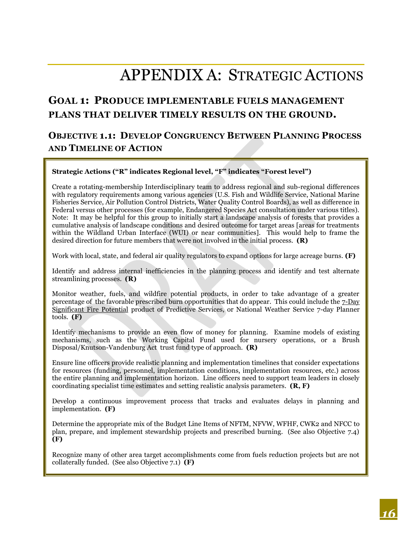# APPENDIX A: STRATEGIC ACTIONS

# <span id="page-17-0"></span>**GOAL 1: PRODUCE IMPLEMENTABLE FUELS MANAGEMENT PLANS THAT DELIVER TIMELY RESULTS ON THE GROUND.**

### **OBJECTIVE 1.1: DEVELOP CONGRUENCY BETWEEN PLANNING PROCESS AND TIMELINE OF ACTION**

#### **Strategic Actions ("R" indicates Regional level, "F" indicates "Forest level")**

Create a rotating-membership Interdisciplinary team to address regional and sub-regional differences with regulatory requirements among various agencies (U.S. Fish and Wildlife Service, National Marine Fisheries Service, Air Pollution Control Districts, Water Quality Control Boards), as well as difference in Federal versus other processes (for example, Endangered Species Act consultation under various titles). Note: It may be helpful for this group to initially start a landscape analysis of forests that provides a cumulative analysis of landscape conditions and desired outcome for target areas [areas for treatments within the Wildland Urban Interface (WUI) or near communities]. This would help to frame the desired direction for future members that were not involved in the initial process. **(R)**

Work with local, state, and federal air quality regulators to expand options for large acreage burns. **(F)**

Identify and address internal inefficiencies in the planning process and identify and test alternate streamlining processes. **(R)**

Monitor weather, fuels, and wildfire potential products, in order to take advantage of a greater percentage of the favorable prescribed burn opportunities that do appear. This could include the 7-Day Significant Fire Potential product of Predictive Services, or National Weather Service 7-day Planner tools. **(F)**

Identify mechanisms to provide an even flow of money for planning. Examine models of existing mechanisms, such as the Working Capital Fund used for nursery operations, or a Brush Disposal/Knutson-Vandenburg Act trust fund type of approach. **(R)**

Ensure line officers provide realistic planning and implementation timelines that consider expectations for resources (funding, personnel, implementation conditions, implementation resources, etc.) across the entire planning and implementation horizon. Line officers need to support team leaders in closely coordinating specialist time estimates and setting realistic analysis parameters. **(R, F)**

Develop a continuous improvement process that tracks and evaluates delays in planning and implementation. **(F)**

Determine the appropriate mix of the Budget Line Items of NFTM, NFVW, WFHF, CWK2 and NFCC to plan, prepare, and implement stewardship projects and prescribed burning. (See also Objective 7.4) **(F)**

Recognize many of other area target accomplishments come from fuels reduction projects but are not collaterally funded. (See also Objective 7.1) **(F)**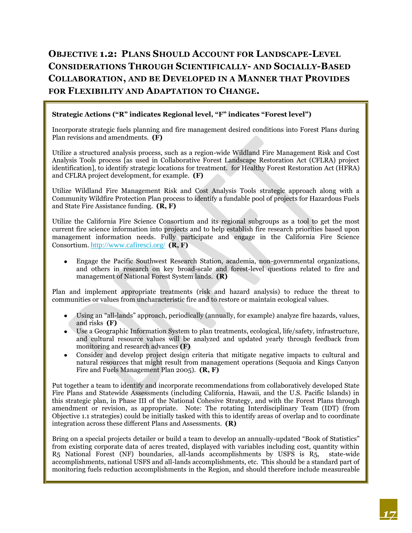# **OBJECTIVE 1.2: PLANS SHOULD ACCOUNT FOR LANDSCAPE-LEVEL CONSIDERATIONS THROUGH SCIENTIFICALLY- AND SOCIALLY-BASED COLLABORATION, AND BE DEVELOPED IN A MANNER THAT PROVIDES FOR FLEXIBILITY AND ADAPTATION TO CHANGE.**

#### **Strategic Actions ("R" indicates Regional level, "F" indicates "Forest level")**

Incorporate strategic fuels planning and fire management desired conditions into Forest Plans during Plan revisions and amendments. **(F)**

Utilize a structured analysis process, such as a region-wide Wildland Fire Management Risk and Cost Analysis Tools process [as used in Collaborative Forest Landscape Restoration Act (CFLRA) project identification], to identify strategic locations for treatment. for Healthy Forest Restoration Act (HFRA) and CFLRA project development, for example. **(F)**

Utilize Wildland Fire Management Risk and Cost Analysis Tools strategic approach along with a Community Wildfire Protection Plan process to identify a fundable pool of projects for Hazardous Fuels and State Fire Assistance funding. **(R, F)**

Utilize the California Fire Science Consortium and its regional subgroups as a tool to get the most current fire science information into projects and to help establish fire research priorities based upon management information needs. Fully participate and engage in the California Fire Science Consortium. <http://www.cafiresci.org/> **(R, F)** 

Engage the Pacific Southwest Research Station, academia, non-governmental organizations, and others in research on key broad-scale and forest-level questions related to fire and management of National Forest System lands. **(R)**

Plan and implement appropriate treatments (risk and hazard analysis) to reduce the threat to communities or values from uncharacteristic fire and to restore or maintain ecological values.

- Using an "all-lands" approach, periodically (annually, for example) analyze fire hazards, values, and risks **(F)**
- Use a Geographic Information System to plan treatments, ecological, life/safety, infrastructure, and cultural resource values will be analyzed and updated yearly through feedback from monitoring and research advances **(F)**
- Consider and develop project design criteria that mitigate negative impacts to cultural and natural resources that might result from management operations (Sequoia and Kings Canyon Fire and Fuels Management Plan 2005). **(R, F)**

Put together a team to identify and incorporate recommendations from collaboratively developed State Fire Plans and Statewide Assessments (including California, Hawaii, and the U.S. Pacific Islands) in this strategic plan, in Phase III of the National Cohesive Strategy, and with the Forest Plans through amendment or revision, as appropriate. Note: The rotating Interdisciplinary Team (IDT) (from Objective 1.1 strategies) could be initially tasked with this to identify areas of overlap and to coordinate integration across these different Plans and Assessments. **(R)**

Bring on a special projects detailer or build a team to develop an annually-updated "Book of Statistics" from existing corporate data of acres treated, displayed with variables including cost, quantity within R5 National Forest (NF) boundaries, all-lands accomplishments by USFS is R5, state-wide accomplishments, national USFS and all-lands accomplishments, etc. This should be a standard part of monitoring fuels reduction accomplishments in the Region, and should therefore include measureable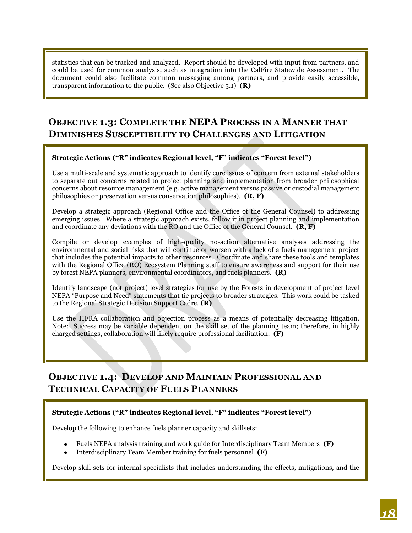statistics that can be tracked and analyzed. Report should be developed with input from partners, and could be used for common analysis, such as integration into the CalFire Statewide Assessment. The document could also facilitate common messaging among partners, and provide easily accessible, transparent information to the public. (See also Objective 5.1) **(R)**

## **OBJECTIVE 1.3: COMPLETE THE NEPA PROCESS IN A MANNER THAT DIMINISHES SUSCEPTIBILITY TO CHALLENGES AND LITIGATION**

#### **Strategic Actions ("R" indicates Regional level, "F" indicates "Forest level")**

Use a multi-scale and systematic approach to identify core issues of concern from external stakeholders to separate out concerns related to project planning and implementation from broader philosophical concerns about resource management (e.g. active management versus passive or custodial management philosophies or preservation versus conservation philosophies). **(R, F)**

Develop a strategic approach (Regional Office and the Office of the General Counsel) to addressing emerging issues. Where a strategic approach exists, follow it in project planning and implementation and coordinate any deviations with the RO and the Office of the General Counsel. **(R, F)**

Compile or develop examples of high-quality no-action alternative analyses addressing the environmental and social risks that will continue or worsen with a lack of a fuels management project that includes the potential impacts to other resources. Coordinate and share these tools and templates with the Regional Office (RO) Ecosystem Planning staff to ensure awareness and support for their use by forest NEPA planners, environmental coordinators, and fuels planners. **(R)**

Identify landscape (not project) level strategies for use by the Forests in development of project level NEPA "Purpose and Need" statements that tie projects to broader strategies. This work could be tasked to the Regional Strategic Decision Support Cadre. **(R)**

Use the HFRA collaboration and objection process as a means of potentially decreasing litigation. Note: Success may be variable dependent on the skill set of the planning team; therefore, in highly charged settings, collaboration will likely require professional facilitation. **(F)**

## **OBJECTIVE 1.4: DEVELOP AND MAINTAIN PROFESSIONAL AND TECHNICAL CAPACITY OF FUELS PLANNERS**

#### **Strategic Actions ("R" indicates Regional level, "F" indicates "Forest level")**

Develop the following to enhance fuels planner capacity and skillsets:

- Fuels NEPA analysis training and work guide for Interdisciplinary Team Members **(F)**
- Interdisciplinary Team Member training for fuels personnel **(F)**

Develop skill sets for internal specialists that includes understanding the effects, mitigations, and the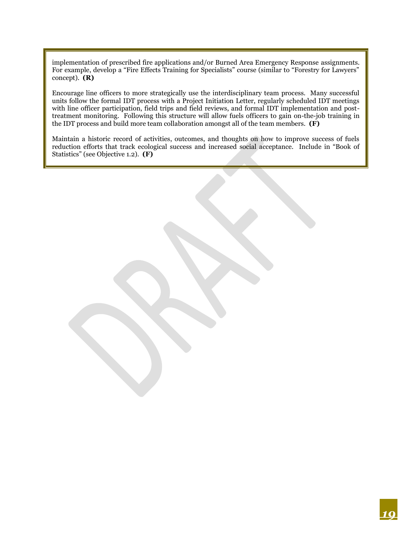implementation of prescribed fire applications and/or Burned Area Emergency Response assignments. For example, develop a "Fire Effects Training for Specialists" course (similar to "Forestry for Lawyers" concept). **(R)**

Encourage line officers to more strategically use the interdisciplinary team process. Many successful units follow the formal IDT process with a Project Initiation Letter, regularly scheduled IDT meetings with line officer participation, field trips and field reviews, and formal IDT implementation and posttreatment monitoring. Following this structure will allow fuels officers to gain on-the-job training in the IDT process and build more team collaboration amongst all of the team members. **(F)**

Maintain a historic record of activities, outcomes, and thoughts on how to improve success of fuels reduction efforts that track ecological success and increased social acceptance. Include in "Book of Statistics" (see Objective 1.2). **(F)**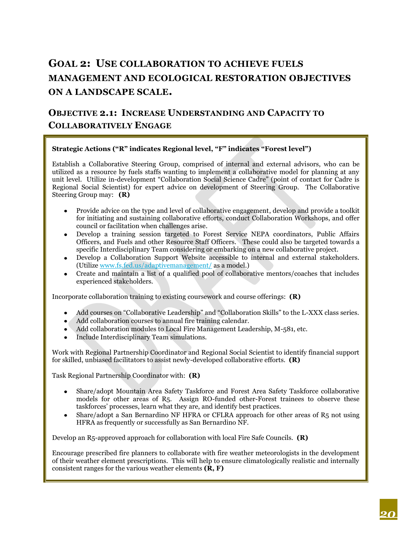# **GOAL 2: USE COLLABORATION TO ACHIEVE FUELS MANAGEMENT AND ECOLOGICAL RESTORATION OBJECTIVES ON A LANDSCAPE SCALE.**

## **OBJECTIVE 2.1: INCREASE UNDERSTANDING AND CAPACITY TO COLLABORATIVELY ENGAGE**

#### **Strategic Actions ("R" indicates Regional level, "F" indicates "Forest level")**

Establish a Collaborative Steering Group, comprised of internal and external advisors, who can be utilized as a resource by fuels staffs wanting to implement a collaborative model for planning at any unit level. Utilize in-development "Collaboration Social Science Cadre" (point of contact for Cadre is Regional Social Scientist) for expert advice on development of Steering Group. The Collaborative Steering Group may: **(R)**

- Provide advice on the type and level of collaborative engagement, develop and provide a toolkit  $\bullet$ for initiating and sustaining collaborative efforts, conduct Collaboration Workshops, and offer council or facilitation when challenges arise.
- Develop a training session targeted to Forest Service NEPA coordinators, Public Affairs Officers, and Fuels and other Resource Staff Officers. These could also be targeted towards a specific Interdisciplinary Team considering or embarking on a new collaborative project.
- Develop a Collaboration Support Website accessible to internal and external stakeholders. (Utiliz[e www.fs.fed.us/adaptivemanagement/](http://www.fs.fed.us/adaptivemanagement/) as a model.)
- Create and maintain a list of a qualified pool of collaborative mentors/coaches that includes experienced stakeholders.

Incorporate collaboration training to existing coursework and course offerings: **(R)**

- Add courses on "Collaborative Leadership" and "Collaboration Skills" to the L-XXX class series.
- Add collaboration courses to annual fire training calendar.
- Add collaboration modules to Local Fire Management Leadership, M-581, etc.
- Include Interdisciplinary Team simulations.

Work with Regional Partnership Coordinator and Regional Social Scientist to identify financial support for skilled, unbiased facilitators to assist newly-developed collaborative efforts. **(R)**

Task Regional Partnership Coordinator with: **(R)**

- Share/adopt Mountain Area Safety Taskforce and Forest Area Safety Taskforce collaborative models for other areas of R5. Assign RO-funded other-Forest trainees to observe these taskforces' processes, learn what they are, and identify best practices.
- Share/adopt a San Bernardino NF HFRA or CFLRA approach for other areas of R5 not using  $\bullet$ HFRA as frequently or successfully as San Bernardino NF.

Develop an R5-approved approach for collaboration with local Fire Safe Councils. **(R)**

Encourage prescribed fire planners to collaborate with fire weather meteorologists in the development of their weather element prescriptions. This will help to ensure climatologically realistic and internally consistent ranges for the various weather elements **(R, F)**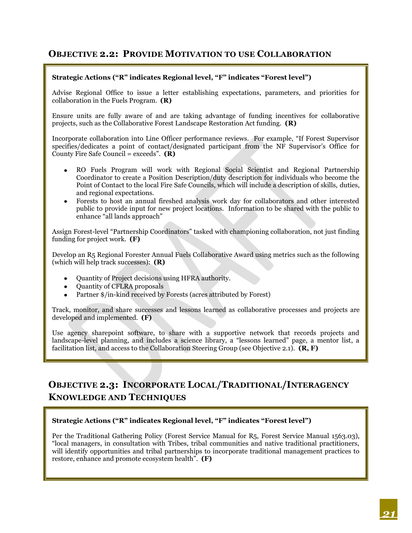#### **OBJECTIVE 2.2: PROVIDE MOTIVATION TO USE COLLABORATION**

#### **Strategic Actions ("R" indicates Regional level, "F" indicates "Forest level")**

Advise Regional Office to issue a letter establishing expectations, parameters, and priorities for collaboration in the Fuels Program. **(R)**

Ensure units are fully aware of and are taking advantage of funding incentives for collaborative projects, such as the Collaborative Forest Landscape Restoration Act funding. **(R)**

Incorporate collaboration into Line Officer performance reviews. For example, "If Forest Supervisor specifies/dedicates a point of contact/designated participant from the NF Supervisor's Office for County Fire Safe Council = exceeds". **(R)**

- RO Fuels Program will work with Regional Social Scientist and Regional Partnership Coordinator to create a Position Description/duty description for individuals who become the Point of Contact to the local Fire Safe Councils, which will include a description of skills, duties, and regional expectations.
- Forests to host an annual fireshed analysis work day for collaborators and other interested public to provide input for new project locations. Information to be shared with the public to enhance "all lands approach"

Assign Forest-level "Partnership Coordinators" tasked with championing collaboration, not just finding funding for project work. **(F)**

Develop an R5 Regional Forester Annual Fuels Collaborative Award using metrics such as the following (which will help track successes): **(R)**

- Quantity of Project decisions using HFRA authority.
- Quantity of CFLRA proposals
- Partner \$/in-kind received by Forests (acres attributed by Forest)

Track, monitor, and share successes and lessons learned as collaborative processes and projects are developed and implemented. **(F)**

Use agency sharepoint software, to share with a supportive network that records projects and landscape-level planning, and includes a science library, a "lessons learned" page, a mentor list, a facilitation list, and access to the Collaboration Steering Group (see Objective 2.1). **(R, F)**

## **OBJECTIVE 2.3: INCORPORATE LOCAL/TRADITIONAL/INTERAGENCY KNOWLEDGE AND TECHNIQUES**

#### **Strategic Actions ("R" indicates Regional level, "F" indicates "Forest level")**

Per the Traditional Gathering Policy (Forest Service Manual for R5, Forest Service Manual 1563.03), "local managers, in consultation with Tribes, tribal communities and native traditional practitioners, will identify opportunities and tribal partnerships to incorporate traditional management practices to restore, enhance and promote ecosystem health". **(F)**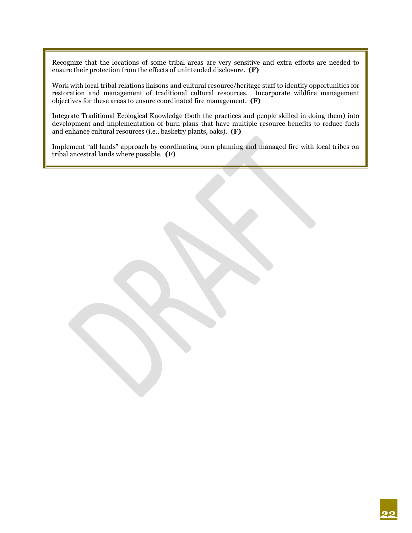Recognize that the locations of some tribal areas are very sensitive and extra efforts are needed to ensure their protection from the effects of unintended disclosure. **(F)**

Work with local tribal relations liaisons and cultural resource/heritage staff to identify opportunities for restoration and management of traditional cultural resources. Incorporate wildfire management objectives for these areas to ensure coordinated fire management. **(F)**

Integrate Traditional Ecological Knowledge (both the practices and people skilled in doing them) into development and implementation of burn plans that have multiple resource benefits to reduce fuels and enhance cultural resources (i.e., basketry plants, oaks). **(F)**

Implement "all lands" approach by coordinating burn planning and managed fire with local tribes on tribal ancestral lands where possible. **(F)**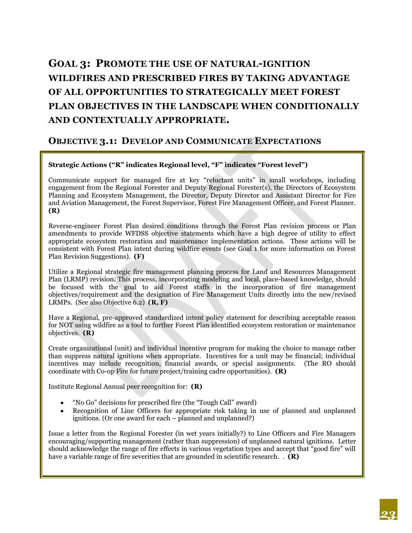# **GOAL 3: PROMOTE THE USE OF NATURAL-IGNITION WILDFIRES AND PRESCRIBED FIRES BY TAKING ADVANTAGE OF ALL OPPORTUNITIES TO STRATEGICALLY MEET FOREST PLAN OBJECTIVES IN THE LANDSCAPE WHEN CONDITIONALLY AND CONTEXTUALLY APPROPRIATE.**

#### **OBJECTIVE 3.1: DEVELOP AND COMMUNICATE EXPECTATIONS**

#### **Strategic Actions ("R" indicates Regional level, "F" indicates "Forest level")**

Communicate support for managed fire at key "reluctant units" in small workshops, including engagement from the Regional Forester and Deputy Regional Forester(s), the Directors of Ecosystem Planning and Ecosystem Management, the Director, Deputy Director and Assistant Director for Fire and Aviation Management, the Forest Supervisor, Forest Fire Management Officer, and Forest Planner. **(R)**

Reverse-engineer Forest Plan desired conditions through the Forest Plan revision process or Plan amendments to provide WFDSS objective statements which have a high degree of utility to effect appropriate ecosystem restoration and maintenance implementation actions. These actions will be consistent with Forest Plan intent during wildfire events (see Goal 1 for more information on Forest Plan Revision Suggestions). **(F)**

Utilize a Regional strategic fire management planning process for Land and Resources Management Plan (LRMP) revision. This process, incorporating modeling and local, place-based knowledge, should be focused with the goal to aid Forest staffs in the incorporation of fire management objectives/requirement and the designation of Fire Management Units directly into the new/revised LRMPs. (See also Objective 6.2) **(R, F)**

Have a Regional, pre-approved standardized intent policy statement for describing acceptable reason for NOT using wildfire as a tool to further Forest Plan identified ecosystem restoration or maintenance objectives. **(R)**

Create organizational (unit) and individual incentive program for making the choice to manage rather than suppress natural ignitions when appropriate. Incentives for a unit may be financial; individual incentives may include recognition, financial awards, or special assignments. (The RO should coordinate with Co-op Fire for future project/training cadre opportunities). **(R)**

Institute Regional Annual peer recognition for: **(R)**

- "No Go" decisions for prescribed fire (the "Tough Call" award)
- Recognition of Line Officers for appropriate risk taking in use of planned and unplanned ignitions. (Or one award for each – planned and unplanned?)

Issue a letter from the Regional Forester (in wet years initially?) to Line Officers and Fire Managers encouraging/supporting management (rather than suppression) of unplanned natural ignitions. Letter should acknowledge the range of fire effects in various vegetation types and accept that "good fire" will have a variable range of fire severities that are grounded in scientific research. . **(R)**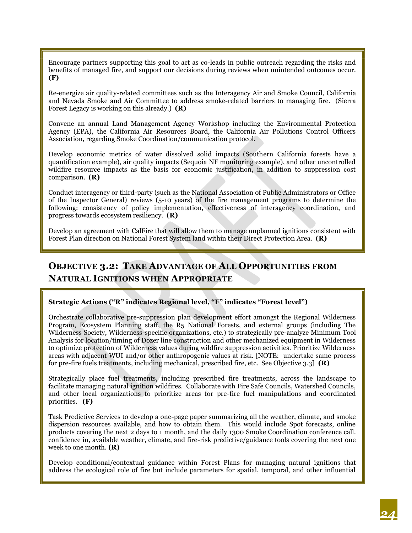Encourage partners supporting this goal to act as co-leads in public outreach regarding the risks and benefits of managed fire, and support our decisions during reviews when unintended outcomes occur. **(F)**

Re-energize air quality-related committees such as the Interagency Air and Smoke Council, California and Nevada Smoke and Air Committee to address smoke-related barriers to managing fire. (Sierra Forest Legacy is working on this already.) **(R)**

Convene an annual Land Management Agency Workshop including the Environmental Protection Agency (EPA), the California Air Resources Board, the California Air Pollutions Control Officers Association, regarding Smoke Coordination/communication protocol.

Develop economic metrics of water dissolved solid impacts (Southern California forests have a quantification example), air quality impacts (Sequoia NF monitoring example), and other uncontrolled wildfire resource impacts as the basis for economic justification, in addition to suppression cost comparison. **(R)**

Conduct interagency or third-party (such as the National Association of Public Administrators or Office of the Inspector General) reviews (5-10 years) of the fire management programs to determine the following: consistency of policy implementation, effectiveness of interagency coordination, and progress towards ecosystem resiliency. **(R)**

Develop an agreement with CalFire that will allow them to manage unplanned ignitions consistent with Forest Plan direction on National Forest System land within their Direct Protection Area. **(R)**

## **OBJECTIVE 3.2: TAKE ADVANTAGE OF ALL OPPORTUNITIES FROM NATURAL IGNITIONS WHEN APPROPRIATE**

#### **Strategic Actions ("R" indicates Regional level, "F" indicates "Forest level")**

Orchestrate collaborative pre-suppression plan development effort amongst the Regional Wilderness Program, Ecosystem Planning staff, the R5 National Forests, and external groups (including The Wilderness Society, Wilderness-specific organizations, etc.) to strategically pre-analyze Minimum Tool Analysis for location/timing of Dozer line construction and other mechanized equipment in Wilderness to optimize protection of Wilderness values during wildfire suppression activities. Prioritize Wilderness areas with adjacent WUI and/or other anthropogenic values at risk. [NOTE: undertake same process for pre-fire fuels treatments, including mechanical, prescribed fire, etc. See Objective 3.3] **(R)**

Strategically place fuel treatments, including prescribed fire treatments, across the landscape to facilitate managing natural ignition wildfires. Collaborate with Fire Safe Councils, Watershed Councils, and other local organizations to prioritize areas for pre-fire fuel manipulations and coordinated priorities. **(F)**

Task Predictive Services to develop a one-page paper summarizing all the weather, climate, and smoke dispersion resources available, and how to obtain them. This would include Spot forecasts, online products covering the next 2 days to 1 month, and the daily 1300 Smoke Coordination conference call. confidence in, available weather, climate, and fire-risk predictive/guidance tools covering the next one week to one month. **(R)**

Develop conditional/contextual guidance within Forest Plans for managing natural ignitions that address the ecological role of fire but include parameters for spatial, temporal, and other influential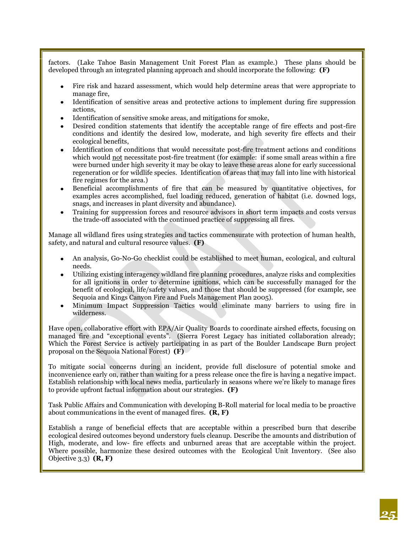factors. (Lake Tahoe Basin Management Unit Forest Plan as example.) These plans should be developed through an integrated planning approach and should incorporate the following: **(F)**

- Fire risk and hazard assessment, which would help determine areas that were appropriate to manage fire,
- Identification of sensitive areas and protective actions to implement during fire suppression actions,
- Identification of sensitive smoke areas, and mitigations for smoke,
- Desired condition statements that identify the acceptable range of fire effects and post-fire conditions and identify the desired low, moderate, and high severity fire effects and their ecological benefits,
- Identification of conditions that would necessitate post-fire treatment actions and conditions which would not necessitate post-fire treatment (for example: if some small areas within a fire were burned under high severity it may be okay to leave these areas alone for early successional regeneration or for wildlife species. Identification of areas that may fall into line with historical fire regimes for the area.)
- Beneficial accomplishments of fire that can be measured by quantitative objectives, for examples acres accomplished, fuel loading reduced, generation of habitat (i.e. downed logs, snags, and increases in plant diversity and abundance).
- Training for suppression forces and resource advisors in short term impacts and costs versus the trade-off associated with the continued practice of suppressing all fires.

Manage all wildland fires using strategies and tactics commensurate with protection of human health, safety, and natural and cultural resource values. **(F)**

- An analysis, Go-No-Go checklist could be established to meet human, ecological, and cultural needs.
- Utilizing existing interagency wildland fire planning procedures, analyze risks and complexities for all ignitions in order to determine ignitions, which can be successfully managed for the benefit of ecological, life/safety values, and those that should be suppressed (for example, see Sequoia and Kings Canyon Fire and Fuels Management Plan 2005).
- Minimum Impact Suppression Tactics would eliminate many barriers to using fire in wilderness.

Have open, collaborative effort with EPA/Air Quality Boards to coordinate airshed effects, focusing on managed fire and "exceptional events". (Sierra Forest Legacy has initiated collaboration already; Which the Forest Service is actively participating in as part of the Boulder Landscape Burn project proposal on the Sequoia National Forest) **(F)**

To mitigate social concerns during an incident, provide full disclosure of potential smoke and inconvenience early on, rather than waiting for a press release once the fire is having a negative impact. Establish relationship with local news media, particularly in seasons where we're likely to manage fires to provide upfront factual information about our strategies. **(F)**

Task Public Affairs and Communication with developing B-Roll material for local media to be proactive about communications in the event of managed fires. **(R, F)**

Establish a range of beneficial effects that are acceptable within a prescribed burn that describe ecological desired outcomes beyond understory fuels cleanup. Describe the amounts and distribution of High, moderate, and low- fire effects and unburned areas that are acceptable within the project. Where possible, harmonize these desired outcomes with the Ecological Unit Inventory. (See also Objective 3.3) **(R, F)**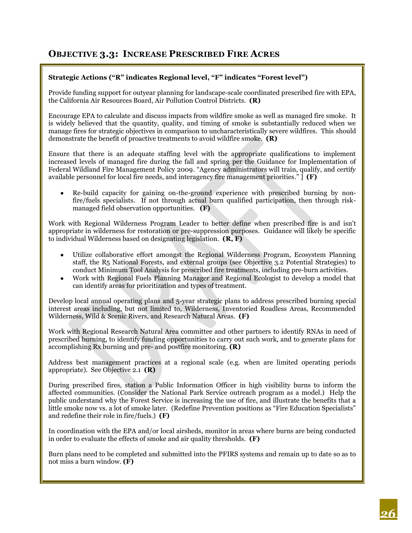#### **OBJECTIVE 3.3: INCREASE PRESCRIBED FIRE ACRES**

#### **Strategic Actions ("R" indicates Regional level, "F" indicates "Forest level")**

Provide funding support for outyear planning for landscape-scale coordinated prescribed fire with EPA, the California Air Resources Board, Air Pollution Control Districts. **(R)**

Encourage EPA to calculate and discuss impacts from wildfire smoke as well as managed fire smoke. It is widely believed that the quantity, quality, and timing of smoke is substantially reduced when we manage fires for strategic objectives in comparison to uncharacteristically severe wildfires. This should demonstrate the benefit of proactive treatments to avoid wildfire smoke. **(R)**

Ensure that there is an adequate staffing level with the appropriate qualifications to implement increased levels of managed fire during the fall and spring per the Guidance for Implementation of Federal Wildland Fire Management Policy 2009. "Agency administrators will train, qualify, and certify available personnel for local fire needs, and interagency fire management priorities." ] **(F)**

Re-build capacity for gaining on-the-ground experience with prescribed burning by non- $\bullet$ fire/fuels specialists. If not through actual burn qualified participation, then through riskmanaged field observation opportunities. **(F)**

Work with Regional Wilderness Program Leader to better define when prescribed fire is and isn't appropriate in wilderness for restoration or pre-suppression purposes. Guidance will likely be specific to individual Wilderness based on designating legislation. **(R, F)**

- Utilize collaborative effort amongst the Regional Wilderness Program, Ecosystem Planning staff, the R5 National Forests, and external groups (see Objective 3.2 Potential Strategies) to conduct Minimum Tool Analysis for prescribed fire treatments, including pre-burn activities.
- Work with Regional Fuels Planning Manager and Regional Ecologist to develop a model that can identify areas for prioritization and types of treatment.

Develop local annual operating plans and 5-year strategic plans to address prescribed burning special interest areas including, but not limited to, Wilderness, Inventoried Roadless Areas, Recommended Wilderness, Wild & Scenic Rivers, and Research Natural Areas. **(F)**

Work with Regional Research Natural Area committee and other partners to identify RNAs in need of prescribed burning, to identify funding opportunities to carry out such work, and to generate plans for accomplishing Rx burning and pre- and postfire monitoring. **(R)**

Address best management practices at a regional scale (e.g. when are limited operating periods appropriate). See Objective 2.1 **(R)**

During prescribed fires, station a Public Information Officer in high visibility burns to inform the affected communities. (Consider the National Park Service outreach program as a model.) Help the public understand why the Forest Service is increasing the use of fire, and illustrate the benefits that a little smoke now vs. a lot of smoke later. (Redefine Prevention positions as "Fire Education Specialists" and redefine their role in fire/fuels.) **(F)**

In coordination with the EPA and/or local airsheds, monitor in areas where burns are being conducted in order to evaluate the effects of smoke and air quality thresholds. **(F)**

Burn plans need to be completed and submitted into the PFIRS systems and remain up to date so as to not miss a burn window. **(F)**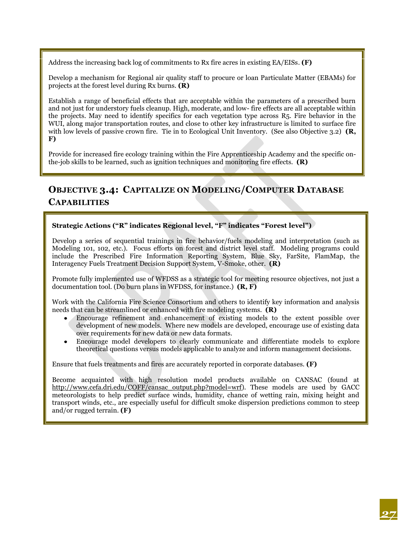Address the increasing back log of commitments to Rx fire acres in existing EA/EISs. **(F)**

Develop a mechanism for Regional air quality staff to procure or loan Particulate Matter (EBAMs) for projects at the forest level during Rx burns. **(R)**

Establish a range of beneficial effects that are acceptable within the parameters of a prescribed burn and not just for understory fuels cleanup. High, moderate, and low- fire effects are all acceptable within the projects. May need to identify specifics for each vegetation type across R5. Fire behavior in the WUI, along major transportation routes, and close to other key infrastructure is limited to surface fire with low levels of passive crown fire. Tie in to Ecological Unit Inventory. (See also Objective 3.2) **(R, F)**

Provide for increased fire ecology training within the Fire Apprenticeship Academy and the specific onthe-job skills to be learned, such as ignition techniques and monitoring fire effects. **(R)**

## **OBJECTIVE 3.4: CAPITALIZE ON MODELING/COMPUTER DATABASE CAPABILITIES**

**Strategic Actions ("R" indicates Regional level, "F" indicates "Forest level")**

Develop a series of sequential trainings in fire behavior/fuels modeling and interpretation (such as Modeling 101, 102, etc.). Focus efforts on forest and district level staff. Modeling programs could include the Prescribed Fire Information Reporting System, Blue Sky, FarSite, FlamMap, the Interagency Fuels Treatment Decision Support System, V-Smoke, other. **(R)**

Promote fully implemented use of WFDSS as a strategic tool for meeting resource objectives, not just a documentation tool. (Do burn plans in WFDSS, for instance.) **(R, F)**

Work with the California Fire Science Consortium and others to identify key information and analysis needs that can be streamlined or enhanced with fire modeling systems. **(R)**

- Encourage refinement and enhancement of existing models to the extent possible over development of new models. Where new models are developed, encourage use of existing data over requirements for new data or new data formats.
- Encourage model developers to clearly communicate and differentiate models to explore theoretical questions versus models applicable to analyze and inform management decisions.

Ensure that fuels treatments and fires are accurately reported in corporate databases. **(F)**

Become acquainted with high resolution model products available on CANSAC (found at [http://www.cefa.dri.edu/COFF/cansac\\_output.php?model=wrf\)](http://www.cefa.dri.edu/COFF/cansac_output.php?model=wrf). These models are used by GACC meteorologists to help predict surface winds, humidity, chance of wetting rain, mixing height and transport winds, etc., are especially useful for difficult smoke dispersion predictions common to steep and/or rugged terrain. **(F)**

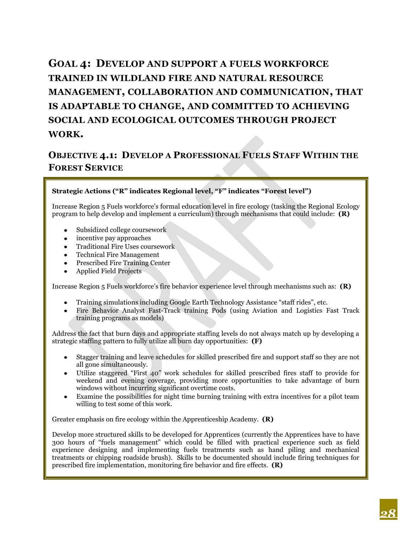# **GOAL 4: DEVELOP AND SUPPORT A FUELS WORKFORCE TRAINED IN WILDLAND FIRE AND NATURAL RESOURCE MANAGEMENT, COLLABORATION AND COMMUNICATION, THAT IS ADAPTABLE TO CHANGE, AND COMMITTED TO ACHIEVING SOCIAL AND ECOLOGICAL OUTCOMES THROUGH PROJECT WORK.**

## **OBJECTIVE 4.1: DEVELOP A PROFESSIONAL FUELS STAFF WITHIN THE FOREST SERVICE**

#### **Strategic Actions ("R" indicates Regional level, "F" indicates "Forest level")**

Increase Region 5 Fuels workforce's formal education level in fire ecology (tasking the Regional Ecology program to help develop and implement a curriculum) through mechanisms that could include: **(R)**

- Subsidized college coursework
- incentive pay approaches
- Traditional Fire Uses coursework
- Technical Fire Management
- Prescribed Fire Training Center
- Applied Field Projects

Increase Region 5 Fuels workforce's fire behavior experience level through mechanisms such as: **(R)**

- Training simulations including Google Earth Technology Assistance "staff rides", etc.
- Fire Behavior Analyst Fast-Track training Pods (using Aviation and Logistics Fast Track training programs as models)

Address the fact that burn days and appropriate staffing levels do not always match up by developing a strategic staffing pattern to fully utilize all burn day opportunities: **(F)**

- Stagger training and leave schedules for skilled prescribed fire and support staff so they are not all gone simultaneously.
- Utilize staggered "First 40" work schedules for skilled prescribed fires staff to provide for weekend and evening coverage, providing more opportunities to take advantage of burn windows without incurring significant overtime costs.
- Examine the possibilities for night time burning training with extra incentives for a pilot team willing to test some of this work.

Greater emphasis on fire ecology within the Apprenticeship Academy. **(R)**

Develop more structured skills to be developed for Apprentices (currently the Apprentices have to have 300 hours of "fuels management" which could be filled with practical experience such as field experience designing and implementing fuels treatments such as hand piling and mechanical treatments or chipping roadside brush). Skills to be documented should include firing techniques for prescribed fire implementation, monitoring fire behavior and fire effects. **(R)**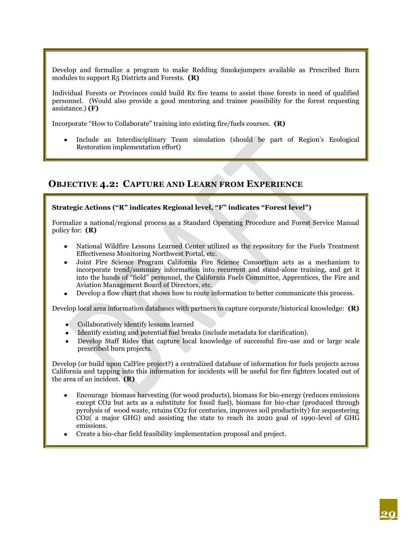Develop and formalize a program to make Redding Smokejumpers available as Prescribed Burn modules to support R5 Districts and Forests. **(R)**

Individual Forests or Provinces could build Rx fire teams to assist those forests in need of qualified personnel. (Would also provide a good mentoring and trainee possibility for the forest requesting assistance.) **(F)**

Incorporate "How to Collaborate" training into existing fire/fuels courses. **(R)**

Include an Interdisciplinary Team simulation (should be part of Region's Ecological Restoration implementation effort)

#### **OBJECTIVE 4.2: CAPTURE AND LEARN FROM EXPERIENCE**

#### **Strategic Actions ("R" indicates Regional level, "F" indicates "Forest level")**

Formalize a national/regional process as a Standard Operating Procedure and Forest Service Manual policy for: **(R)**

- National Wildfire Lessons Learned Center utilized as the repository for the Fuels Treatment Effectiveness Monitoring Northwest Portal, etc.
- Joint Fire Science Program California Fire Science Consortium acts as a mechanism to incorporate trend/summary information into recurrent and stand-alone training, and get it into the hands of "field" personnel, the California Fuels Committee, Apprentices, the Fire and Aviation Management Board of Directors, etc.
- Develop a flow chart that shows how to route information to better communicate this process.

Develop local area information databases with partners to capture corporate/historical knowledge: **(R)**

- Collaboratively identify lessons learned
- Identify existing and potential fuel breaks (include metadata for clarification).
- Develop Staff Rides that capture local knowledge of successful fire-use and or large scale prescribed burn projects.

Develop (or build upon CalFire project?) a centralized database of information for fuels projects across California and tapping into this information for incidents will be useful for fire fighters located out of the area of an incident. **(R)**

- Encourage biomass harvesting (for wood products), biomass for bio-energy (reduces emissions except CO2 but acts as a substitute for fossil fuel), biomass for bio-char (produced through pyrolysis of wood waste, retains CO2 for centuries, improves soil productivity) for sequestering CO2( a major GHG) and assisting the state to reach its 2020 goal of 1990-level of GHG emissions.
- Create a bio-char field feasibility implementation proposal and project.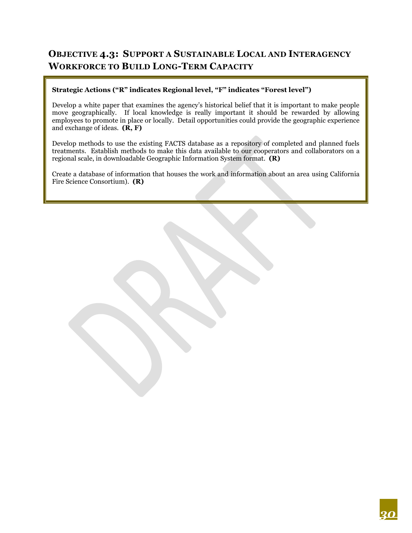## **OBJECTIVE 4.3: SUPPORT A SUSTAINABLE LOCAL AND INTERAGENCY WORKFORCE TO BUILD LONG-TERM CAPACITY**

#### **Strategic Actions ("R" indicates Regional level, "F" indicates "Forest level")**

Develop a white paper that examines the agency's historical belief that it is important to make people move geographically. If local knowledge is really important it should be rewarded by allowing employees to promote in place or locally. Detail opportunities could provide the geographic experience and exchange of ideas. **(R, F)**

Develop methods to use the existing FACTS database as a repository of completed and planned fuels treatments. Establish methods to make this data available to our cooperators and collaborators on a regional scale, in downloadable Geographic Information System format. **(R)**

Create a database of information that houses the work and information about an area using California Fire Science Consortium). **(R)**

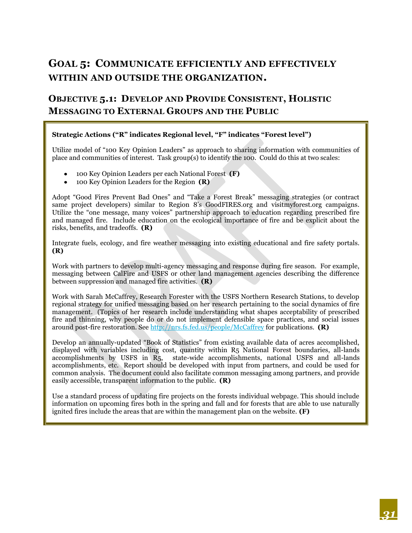# **GOAL 5: COMMUNICATE EFFICIENTLY AND EFFECTIVELY WITHIN AND OUTSIDE THE ORGANIZATION.**

### **OBJECTIVE 5.1: DEVELOP AND PROVIDE CONSISTENT, HOLISTIC MESSAGING TO EXTERNAL GROUPS AND THE PUBLIC**

#### **Strategic Actions ("R" indicates Regional level, "F" indicates "Forest level")**

Utilize model of "100 Key Opinion Leaders" as approach to sharing information with communities of place and communities of interest. Task group(s) to identify the 100. Could do this at two scales:

- 100 Key Opinion Leaders per each National Forest **(F)**
- 100 Key Opinion Leaders for the Region **(R)**

Adopt "Good Fires Prevent Bad Ones" and "Take a Forest Break" messaging strategies (or contract same project developers) similar to Region 8's GoodFIRES.org and visitmyforest.org campaigns. Utilize the "one message, many voices" partnership approach to education regarding prescribed fire and managed fire. Include education on the ecological importance of fire and be explicit about the risks, benefits, and tradeoffs. **(R)**

Integrate fuels, ecology, and fire weather messaging into existing educational and fire safety portals. **(R)**

Work with partners to develop multi-agency messaging and response during fire season. For example, messaging between CalFire and USFS or other land management agencies describing the difference between suppression and managed fire activities. **(R)**

Work with Sarah McCaffrey, Research Forester with the USFS Northern Research Stations, to develop regional strategy for unified messaging based on her research pertaining to the social dynamics of fire management. (Topics of her research include understanding what shapes acceptability of prescribed fire and thinning, why people do or do not implement defensible space practices, and social issues around post-fire restoration. Se[e http://nrs.fs.fed.us/people/McCaffrey](http://nrs.fs.fed.us/people/McCaffrey) for publications. **(R)**

Develop an annually-updated "Book of Statistics" from existing available data of acres accomplished, displayed with variables including cost, quantity within R5 National Forest boundaries, all-lands accomplishments by USFS in R5, state-wide accomplishments, national USFS and all-lands accomplishments, etc. Report should be developed with input from partners, and could be used for common analysis. The document could also facilitate common messaging among partners, and provide easily accessible, transparent information to the public. **(R)**

Use a standard process of updating fire projects on the forests individual webpage. This should include information on upcoming fires both in the spring and fall and for forests that are able to use naturally ignited fires include the areas that are within the management plan on the website. **(F)**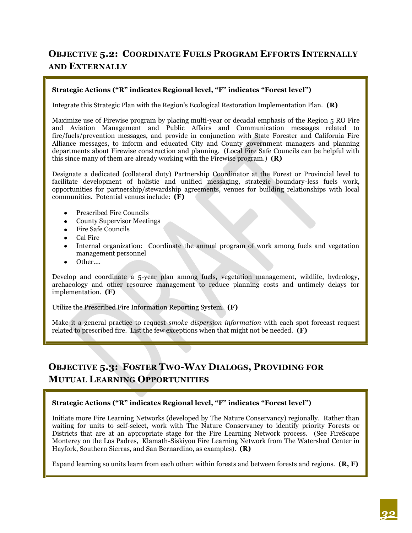## **OBJECTIVE 5.2: COORDINATE FUELS PROGRAM EFFORTS INTERNALLY AND EXTERNALLY**

#### **Strategic Actions ("R" indicates Regional level, "F" indicates "Forest level")**

Integrate this Strategic Plan with the Region's Ecological Restoration Implementation Plan. **(R)**

Maximize use of Firewise program by placing multi-year or decadal emphasis of the Region 5 RO Fire and Aviation Management and Public Affairs and Communication messages related to fire/fuels/prevention messages, and provide in conjunction with State Forester and California Fire Alliance messages, to inform and educated City and County government managers and planning departments about Firewise construction and planning. (Local Fire Safe Councils can be helpful with this since many of them are already working with the Firewise program.) **(R)**

Designate a dedicated (collateral duty) Partnership Coordinator at the Forest or Provincial level to facilitate development of holistic and unified messaging, strategic boundary-less fuels work, opportunities for partnership/stewardship agreements, venues for building relationships with local communities. Potential venues include: **(F)**

- Prescribed Fire Councils
- County Supervisor Meetings
- Fire Safe Councils
- Cal Fire
- Internal organization: Coordinate the annual program of work among fuels and vegetation management personnel
- Other….

Develop and coordinate a 5-year plan among fuels, vegetation management, wildlife, hydrology, archaeology and other resource management to reduce planning costs and untimely delays for implementation. **(F)**

Utilize the Prescribed Fire Information Reporting System. **(F)**

Make it a general practice to request *smoke dispersion information* with each spot forecast request related to prescribed fire. List the few exceptions when that might not be needed. **(F)**

## **OBJECTIVE 5.3: FOSTER TWO-WAY DIALOGS, PROVIDING FOR MUTUAL LEARNING OPPORTUNITIES**

#### **Strategic Actions ("R" indicates Regional level, "F" indicates "Forest level")**

Initiate more Fire Learning Networks (developed by The Nature Conservancy) regionally. Rather than waiting for units to self-select, work with The Nature Conservancy to identify priority Forests or Districts that are at an appropriate stage for the Fire Learning Network process. (See FireScape Monterey on the Los Padres, Klamath-Siskiyou Fire Learning Network from The Watershed Center in Hayfork, Southern Sierras, and San Bernardino, as examples). **(R)**

Expand learning so units learn from each other: within forests and between forests and regions. **(R, F)**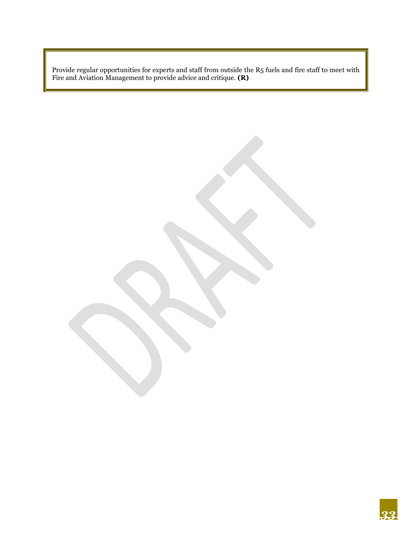Provide regular opportunities for experts and staff from outside the R5 fuels and fire staff to meet with Fire and Aviation Management to provide advice and critique. **(R)**

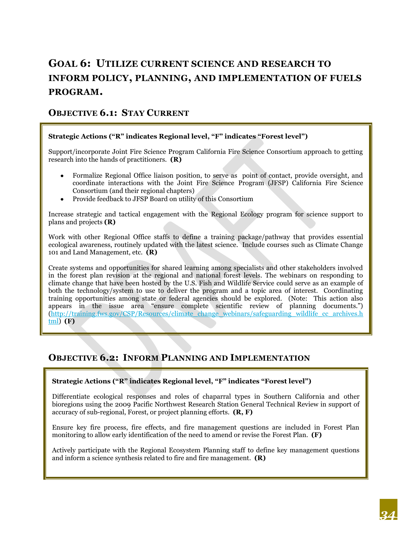# **GOAL 6: UTILIZE CURRENT SCIENCE AND RESEARCH TO INFORM POLICY, PLANNING, AND IMPLEMENTATION OF FUELS PROGRAM.**

#### **OBJECTIVE 6.1: STAY CURRENT**

#### **Strategic Actions ("R" indicates Regional level, "F" indicates "Forest level")**

Support/incorporate Joint Fire Science Program California Fire Science Consortium approach to getting research into the hands of practitioners. **(R)**

- Formalize Regional Office liaison position, to serve as point of contact, provide oversight, and  $\bullet$ coordinate interactions with the Joint Fire Science Program (JFSP) California Fire Science Consortium (and their regional chapters)
- Provide feedback to JFSP Board on utility of this Consortium

Increase strategic and tactical engagement with the Regional Ecology program for science support to plans and projects **(R)**

Work with other Regional Office staffs to define a training package/pathway that provides essential ecological awareness, routinely updated with the latest science. Include courses such as Climate Change 101 and Land Management, etc. **(R)**

Create systems and opportunities for shared learning among specialists and other stakeholders involved in the forest plan revision at the regional and national forest levels. The webinars on responding to climate change that have been hosted by the U.S. Fish and Wildlife Service could serve as an example of both the technology/system to use to deliver the program and a topic area of interest. Coordinating training opportunities among state or federal agencies should be explored. (Note: This action also appears in the issue area "ensure complete scientific review of planning documents.") [\(http://training.fws.gov/CSP/Resources/climate\\_change\\_webinars/safeguarding\\_wildlife\\_cc\\_archives.h](http://training.fws.gov/CSP/Resources/climate_change_webinars/safeguarding_wildlife_cc_archives.html) [tml\)](http://training.fws.gov/CSP/Resources/climate_change_webinars/safeguarding_wildlife_cc_archives.html) **(F)**

#### **OBJECTIVE 6.2: INFORM PLANNING AND IMPLEMENTATION**

#### **Strategic Actions ("R" indicates Regional level, "F" indicates "Forest level")**

Differentiate ecological responses and roles of chaparral types in Southern California and other bioregions using the 2009 Pacific Northwest Research Station General Technical Review in support of accuracy of sub-regional, Forest, or project planning efforts. **(R, F)**

Ensure key fire process, fire effects, and fire management questions are included in Forest Plan monitoring to allow early identification of the need to amend or revise the Forest Plan. **(F)**

Actively participate with the Regional Ecosystem Planning staff to define key management questions and inform a science synthesis related to fire and fire management. **(R)**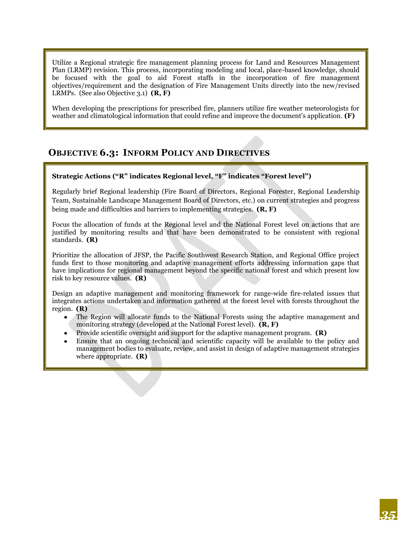Utilize a Regional strategic fire management planning process for Land and Resources Management Plan (LRMP) revision. This process, incorporating modeling and local, place-based knowledge, should be focused with the goal to aid Forest staffs in the incorporation of fire management objectives/requirement and the designation of Fire Management Units directly into the new/revised LRMPs. (See also Objective 3.1) **(R, F)**

When developing the prescriptions for prescribed fire, planners utilize fire weather meteorologists for weather and climatological information that could refine and improve the document's application. **(F)**

#### **OBJECTIVE 6.3: INFORM POLICY AND DIRECTIVES**

#### **Strategic Actions ("R" indicates Regional level, "F" indicates "Forest level")**

Regularly brief Regional leadership (Fire Board of Directors, Regional Forester, Regional Leadership Team, Sustainable Landscape Management Board of Directors, etc.) on current strategies and progress being made and difficulties and barriers to implementing strategies. **(R, F)**

Focus the allocation of funds at the Regional level and the National Forest level on actions that are justified by monitoring results and that have been demonstrated to be consistent with regional standards. **(R)**

Prioritize the allocation of JFSP, the Pacific Southwest Research Station, and Regional Office project funds first to those monitoring and adaptive management efforts addressing information gaps that have implications for regional management beyond the specific national forest and which present low risk to key resource values. **(R)**

Design an adaptive management and monitoring framework for range-wide fire-related issues that integrates actions undertaken and information gathered at the forest level with forests throughout the region. **(R)**

- The Region will allocate funds to the National Forests using the adaptive management and monitoring strategy (developed at the National Forest level). **(R, F)**
- Provide scientific oversight and support for the adaptive management program. **(R)**
- Ensure that an ongoing technical and scientific capacity will be available to the policy and management bodies to evaluate, review, and assist in design of adaptive management strategies where appropriate. **(R)**

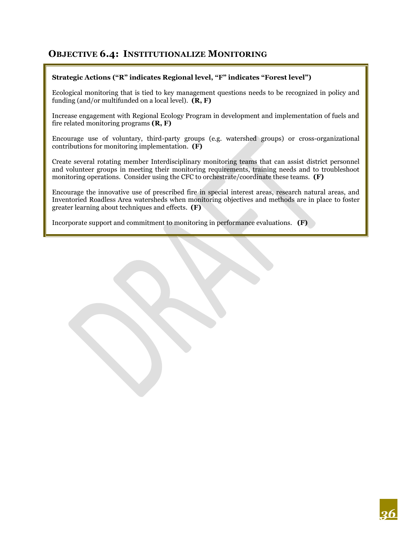#### **OBJECTIVE 6.4: INSTITUTIONALIZE MONITORING**

#### **Strategic Actions ("R" indicates Regional level, "F" indicates "Forest level")**

Ecological monitoring that is tied to key management questions needs to be recognized in policy and funding (and/or multifunded on a local level). **(R, F)**

Increase engagement with Regional Ecology Program in development and implementation of fuels and fire related monitoring programs **(R, F)**

Encourage use of voluntary, third-party groups (e.g. watershed groups) or cross-organizational contributions for monitoring implementation. **(F)**

Create several rotating member Interdisciplinary monitoring teams that can assist district personnel and volunteer groups in meeting their monitoring requirements, training needs and to troubleshoot monitoring operations. Consider using the CFC to orchestrate/coordinate these teams. **(F)**

Encourage the innovative use of prescribed fire in special interest areas, research natural areas, and Inventoried Roadless Area watersheds when monitoring objectives and methods are in place to foster greater learning about techniques and effects. **(F)**

Incorporate support and commitment to monitoring in performance evaluations. **(F)**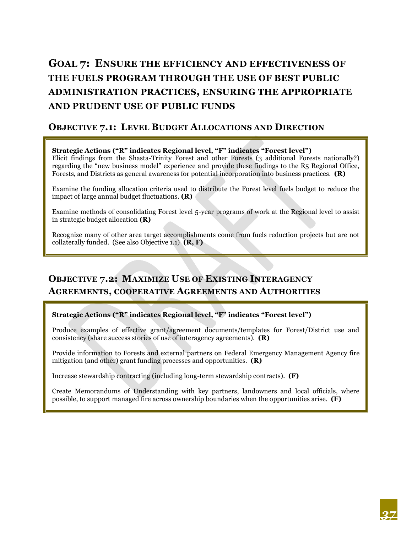# **GOAL 7: ENSURE THE EFFICIENCY AND EFFECTIVENESS OF THE FUELS PROGRAM THROUGH THE USE OF BEST PUBLIC ADMINISTRATION PRACTICES, ENSURING THE APPROPRIATE AND PRUDENT USE OF PUBLIC FUNDS**

#### **OBJECTIVE 7.1: LEVEL BUDGET ALLOCATIONS AND DIRECTION**

#### **Strategic Actions ("R" indicates Regional level, "F" indicates "Forest level")**

Elicit findings from the Shasta-Trinity Forest and other Forests (3 additional Forests nationally?) regarding the "new business model" experience and provide these findings to the R5 Regional Office, Forests, and Districts as general awareness for potential incorporation into business practices. **(R)**

Examine the funding allocation criteria used to distribute the Forest level fuels budget to reduce the impact of large annual budget fluctuations. **(R)**

Examine methods of consolidating Forest level 5-year programs of work at the Regional level to assist in strategic budget allocation **(R)**

Recognize many of other area target accomplishments come from fuels reduction projects but are not collaterally funded. (See also Objective 1.1) **(R, F)**

## **OBJECTIVE 7.2: MAXIMIZE USE OF EXISTING INTERAGENCY AGREEMENTS, COOPERATIVE AGREEMENTS AND AUTHORITIES**

#### **Strategic Actions ("R" indicates Regional level, "F" indicates "Forest level")**

Produce examples of effective grant/agreement documents/templates for Forest/District use and consistency (share success stories of use of interagency agreements). **(R)**

Provide information to Forests and external partners on Federal Emergency Management Agency fire mitigation (and other) grant funding processes and opportunities. **(R)**

Increase stewardship contracting (including long-term stewardship contracts). **(F)**

Create Memorandums of Understanding with key partners, landowners and local officials, where possible, to support managed fire across ownership boundaries when the opportunities arise. **(F)**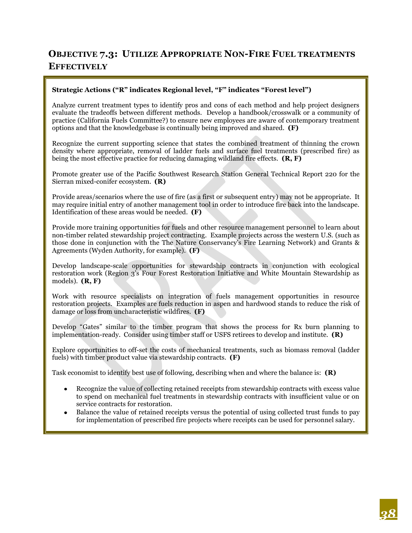## **OBJECTIVE 7.3: UTILIZE APPROPRIATE NON-FIRE FUEL TREATMENTS EFFECTIVELY**

#### **Strategic Actions ("R" indicates Regional level, "F" indicates "Forest level")**

Analyze current treatment types to identify pros and cons of each method and help project designers evaluate the tradeoffs between different methods. Develop a handbook/crosswalk or a community of practice (California Fuels Committee?) to ensure new employees are aware of contemporary treatment options and that the knowledgebase is continually being improved and shared. **(F)**

Recognize the current supporting science that states the combined treatment of thinning the crown density where appropriate, removal of ladder fuels and surface fuel treatments (prescribed fire) as being the most effective practice for reducing damaging wildland fire effects. **(R, F)**

Promote greater use of the Pacific Southwest Research Station General Technical Report 220 for the Sierran mixed-conifer ecosystem. **(R)**

Provide areas/scenarios where the use of fire (as a first or subsequent entry) may not be appropriate. It may require initial entry of another management tool in order to introduce fire back into the landscape. Identification of these areas would be needed. **(F)**

Provide more training opportunities for fuels and other resource management personnel to learn about non-timber related stewardship project contracting. Example projects across the western U.S. (such as those done in conjunction with the The Nature Conservancy's Fire Learning Network) and Grants & Agreements (Wyden Authority, for example). **(F)**

Develop landscape-scale opportunities for stewardship contracts in conjunction with ecological restoration work (Region 3's Four Forest Restoration Initiative and White Mountain Stewardship as models). **(R, F)**

Work with resource specialists on integration of fuels management opportunities in resource restoration projects. Examples are fuels reduction in aspen and hardwood stands to reduce the risk of damage or loss from uncharacteristic wildfires. **(F)**

Develop "Gates" similar to the timber program that shows the process for Rx burn planning to implementation-ready. Consider using timber staff or USFS retirees to develop and institute. **(R)**

Explore opportunities to off-set the costs of mechanical treatments, such as biomass removal (ladder fuels) with timber product value via stewardship contracts. **(F)**

Task economist to identify best use of following, describing when and where the balance is: **(R)**

- Recognize the value of collecting retained receipts from stewardship contracts with excess value to spend on mechanical fuel treatments in stewardship contracts with insufficient value or on service contracts for restoration.
- Balance the value of retained receipts versus the potential of using collected trust funds to pay for implementation of prescribed fire projects where receipts can be used for personnel salary.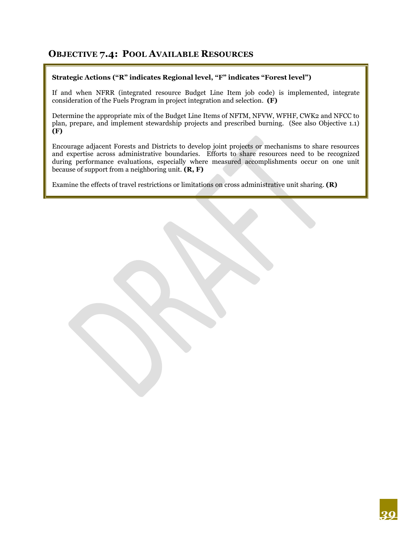#### **OBJECTIVE 7.4: POOL AVAILABLE RESOURCES**

#### **Strategic Actions ("R" indicates Regional level, "F" indicates "Forest level")**

If and when NFRR (integrated resource Budget Line Item job code) is implemented, integrate consideration of the Fuels Program in project integration and selection. **(F)**

Determine the appropriate mix of the Budget Line Items of NFTM, NFVW, WFHF, CWK2 and NFCC to plan, prepare, and implement stewardship projects and prescribed burning. (See also Objective 1.1) **(F)**

Encourage adjacent Forests and Districts to develop joint projects or mechanisms to share resources and expertise across administrative boundaries. Efforts to share resources need to be recognized during performance evaluations, especially where measured accomplishments occur on one unit because of support from a neighboring unit. **(R, F)**

Examine the effects of travel restrictions or limitations on cross administrative unit sharing. **(R)**

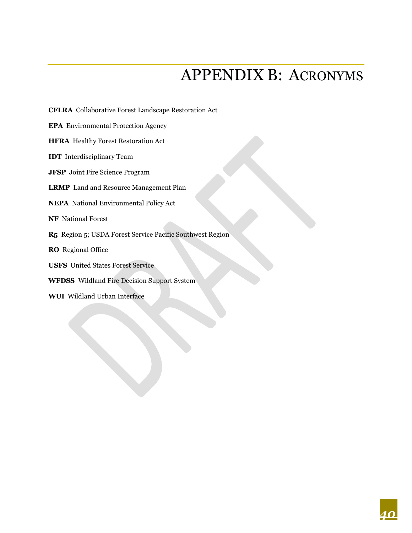# APPENDIX B: ACRONYMS

<span id="page-41-0"></span>**CFLRA** Collaborative Forest Landscape Restoration Act

**EPA** Environmental Protection Agency

**HFRA** Healthy Forest Restoration Act

**IDT** Interdisciplinary Team

**JFSP** Joint Fire Science Program

**LRMP** Land and Resource Management Plan

**NEPA** National Environmental Policy Act

**NF** National Forest

**R5** Region 5; USDA Forest Service Pacific Southwest Region

**RO** Regional Office

**USFS** United States Forest Service

**WFDSS** Wildland Fire Decision Support System

**WUI** Wildland Urban Interface

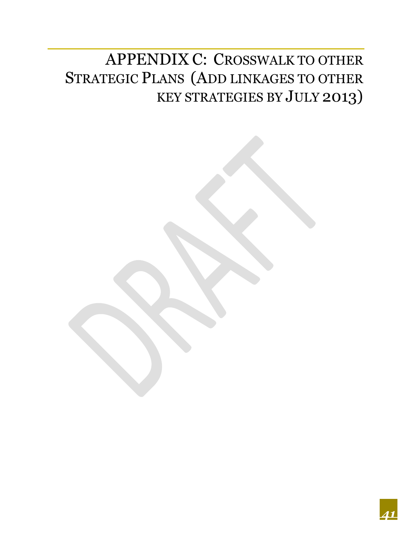# <span id="page-42-0"></span>APPENDIX C: CROSSWALK TO OTHER STRATEGIC PLANS (ADD LINKAGES TO OTHER KEY STRATEGIES BY JULY 2013)

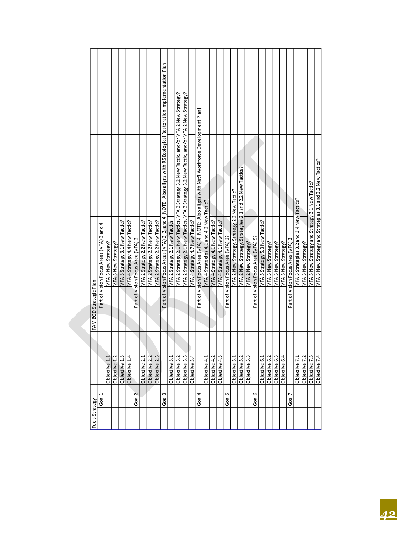| FAM BOD Strategic Plan | Part of Vision Focus Areas (VFA) 3 and 4 | VFA 3 New Strategy? | VFA3 New Strategy? | VFA 3 Strategy 3.1 New Tactic? | VFA 4 Strategy 4.4 New Tactic? | Part of Vision Focus Area (VFA) 2 | VFA 2 Strategy 2.2 New Tactic? | VFA 2 Strategy 2.2 New Tactic? | VFA 2 Strategy 2.2 New Tactic? | Part of Vision Focus Areas (VFA) 2, 3, and 4 [NOTE: Also aligns with R5 Ecological Restoration Implementation Plan | VFA 2 Strategy 2.1 New Tactics | VFA 2 Strategy 2.1 New Tactics, VFA 3 Strategy 3.2 New Tactic, and/or VFA 2 New Strategy? | VFA 2 Strategy 2.1 New Tactics, VFA 3 Strategy 3.2 New Tactic, and/or VFA 2 New Strategy? | VFA 4 Strategy 4.7 New Tactic? | Part of Vision Focus Area (VFA) 4 [NOTE: Also aligns with Nat'l Workforce Development Plan] | VFA 4 Strategies 4.1 and 4.2 New Tactic? | VFA 4 Strategy 4.1 New Tactic? | VFA 4 Strategy 4.1 New Tactic? | Part of Vision Focus Area (VFA) 2? | VFA 2 New Strategy, Strategy 2.2 New Tactic? | VFA 2 New Strategy, Strategies 2.1 and 2.2 New Tactics? | VFA 2 New Strategy? | Part of Vision Focus Area (VFA) 5? | VFA 5 Strategy 5.3 New Tactic? | VFA 5 New Strategy? | VFA 5 New Strategy? | VFA 5 New Strategy? | Part of Vision Focus Area (VFA) 3 | VFA 3 Strategies 3.2 and 3.4 New Tactics? | VFA 3 New Strategy? | VFA 3 New Strategy and Strategy 3.1 New Tactic? | VFA 3 New Strategy and Strategies 3.1 and 3.2 New Tactics? |
|------------------------|------------------------------------------|---------------------|--------------------|--------------------------------|--------------------------------|-----------------------------------|--------------------------------|--------------------------------|--------------------------------|--------------------------------------------------------------------------------------------------------------------|--------------------------------|-------------------------------------------------------------------------------------------|-------------------------------------------------------------------------------------------|--------------------------------|---------------------------------------------------------------------------------------------|------------------------------------------|--------------------------------|--------------------------------|------------------------------------|----------------------------------------------|---------------------------------------------------------|---------------------|------------------------------------|--------------------------------|---------------------|---------------------|---------------------|-----------------------------------|-------------------------------------------|---------------------|-------------------------------------------------|------------------------------------------------------------|
|                        |                                          |                     |                    |                                |                                |                                   |                                |                                |                                |                                                                                                                    |                                |                                                                                           |                                                                                           |                                |                                                                                             |                                          |                                |                                |                                    |                                              |                                                         |                     |                                    |                                |                     |                     |                     |                                   |                                           |                     |                                                 |                                                            |
|                        |                                          |                     |                    |                                |                                |                                   |                                |                                |                                |                                                                                                                    |                                |                                                                                           |                                                                                           |                                |                                                                                             |                                          |                                |                                |                                    |                                              |                                                         |                     |                                    |                                |                     |                     |                     |                                   |                                           |                     |                                                 |                                                            |
|                        |                                          | Objective 1.1       | Objective 1.2      | Objective 1.3                  | Objective 1.4                  |                                   | Objective 2.1                  | Objective 2.2                  | Objective 2.3                  |                                                                                                                    | Objective 3.1                  | Objective 3.2                                                                             | Objective 3.3                                                                             | Objective 3.4                  |                                                                                             | Objective 4.1                            | Objective 4.2                  | Objective 4.3                  |                                    | Objective 5.1                                | Objective 5.2                                           | Objective 5.3       |                                    | Objective 6.1                  | Objective 6.2       | Objective 6.3       | Objective 6.4       |                                   | Objective 7.1                             | Objective 7.2       | Objective 7.3                                   | Objective 7.4                                              |
| Fuels Strategy         | Goal                                     |                     |                    |                                |                                | $\overline{\mathbf{c}}$<br>Goal   |                                |                                |                                | Goal 3                                                                                                             |                                |                                                                                           |                                                                                           |                                | 4<br>Goal.                                                                                  |                                          |                                |                                | Goal 5                             |                                              |                                                         |                     | Goal 6                             |                                |                     |                     |                     | Goal                              |                                           |                     |                                                 |                                                            |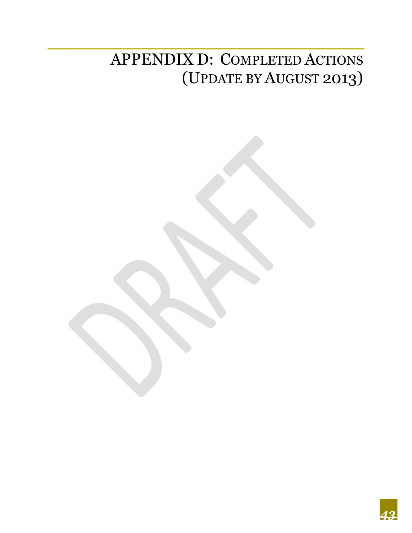# <span id="page-44-0"></span>APPENDIX D: COMPLETED ACTIONS (UPDATE BY AUGUST 2013)